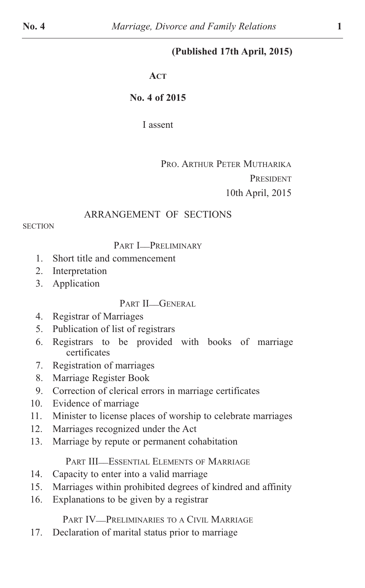# **(Published 17th April, 2015)**

#### **ACT**

## **No. 4 of 2015**

I assent

# PRO. ARTHUR PETER MUTHARIKA PRESIDENT 10th April, 2015

## ARRANGEMENT OF SECTIONS

**SECTION** 

PART **I\_\_PRELIMINARY** 

- 1. Short title and commencement
- 2. Interpretation
- 3. Application

PART II\_GENERAL

- 4. Registrar of Marriages
- 5. Publication of list of registrars
- 6. Registrars to be provided with books of marriage certificates
- 7. Registration of marriages
- 8. Marriage Register Book
- 9. Correction of clerical errors in marriage certificates
- 10. Evidence of marriage
- 11. Minister to license places of worship to celebrate marriages
- 12. Marriages recognized under the Act
- 13. Marriage by repute or permanent cohabitation

PART III-ESSENTIAL ELEMENTS OF MARRIAGE

- 14. Capacity to enter into a valid marriage
- 15. Marriages within prohibited degrees of kindred and affinity
- 16. Explanations to be given by a registrar

PART IV<sup>\_</sup>PRELIMINARIES TO A CIVIL MARRIAGE

17. Declaration of marital status prior to marriage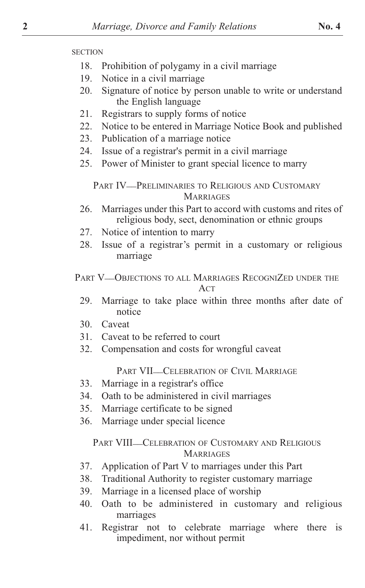- 18. Prohibition of polygamy in a civil marriage
- 19. Notice in a civil marriage
- 20. Signature of notice by person unable to write or understand the English language
- 21. Registrars to supply forms of notice
- 22. Notice to be entered in Marriage Notice Book and published
- 23. Publication of a marriage notice
- 24. Issue of a registrar's permit in a civil marriage
- 25. Power of Minister to grant special licence to marry

PART IV<sup>\_\_</sup>PRELIMINARIES TO RELIGIOUS AND CUSTOMARY **MARRIAGES** 

- 26. Marriages under this Part to accord with customs and rites of religious body, sect, denomination or ethnic groups
- 27. Notice of intention to marry
- 28. Issue of a registrar's permit in a customary or religious marriage
- PART V-OBJECTIONS TO ALL MARRIAGES RECOGNIZED UNDER THE **ACT** 
	- 29. Marriage to take place within three months after date of notice
	- 30. Caveat
	- 31. Caveat to be referred to court
	- 32. Compensation and costs for wrongful caveat

PART VII-CELEBRATION OF CIVIL MARRIAGE

- 33. Marriage in a registrar's office
- 34. Oath to be administered in civil marriages
- 35. Marriage certificate to be signed
- 36. Marriage under special licence

#### PART VIII\_CELEBRATION OF CUSTOMARY AND RELIGIOUS **MARRIAGES**

- 37. Application of Part V to marriages under this Part
- 38. Traditional Authority to register customary marriage
- 39. Marriage in a licensed place of worship
- 40. Oath to be administered in customary and religious marriages
- 41. Registrar not to celebrate marriage where there is impediment, nor without permit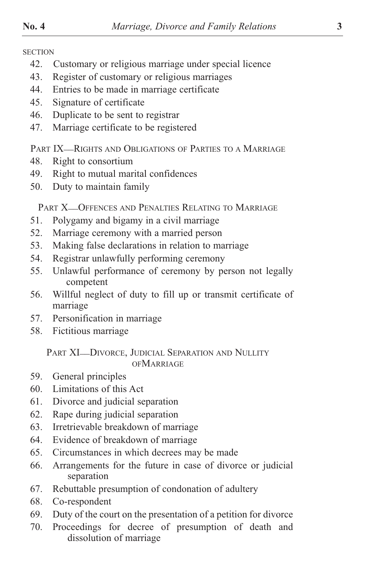- 42. Customary or religious marriage under special licence
- 43. Register of customary or religious marriages
- 44. Entries to be made in marriage certificate
- 45. Signature of certificate
- 46. Duplicate to be sent to registrar
- 47. Marriage certificate to be registered

PART IX-RIGHTS AND OBLIGATIONS OF PARTIES TO A MARRIAGE

- 48. Right to consortium
- 49. Right to mutual marital confidences
- 50. Duty to maintain family

PART X-OFFENCES AND PENALTIES RELATING TO MARRIAGE

- 51. Polygamy and bigamy in a civil marriage
- 52. Marriage ceremony with a married person
- 53. Making false declarations in relation to marriage
- 54. Registrar unlawfully performing ceremony
- 55. Unlawful performance of ceremony by person not legally competent
- 56. Willful neglect of duty to fill up or transmit certificate of marriage
- 57. Personification in marriage
- 58. Fictitious marriage

## PART XI-DIVORCE, JUDICIAL SEPARATION AND NULLITY **OFMARRIAGE**

- 59. General principles
- 60. Limitations of this Act
- 61. Divorce and judicial separation
- 62. Rape during judicial separation
- 63. Irretrievable breakdown of marriage
- 64. Evidence of breakdown of marriage
- 65. Circumstances in which decrees may be made
- 66. Arrangements for the future in case of divorce or judicial separation
- 67. Rebuttable presumption of condonation of adultery
- 68. Co-respondent
- 69. Duty of the court on the presentation of a petition for divorce
- 70. Proceedings for decree of presumption of death and dissolution of marriage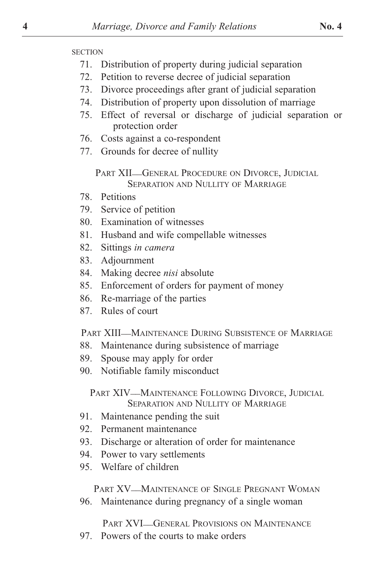- 71. Distribution of property during judicial separation
- 72. Petition to reverse decree of judicial separation
- 73. Divorce proceedings after grant of judicial separation
- 74. Distribution of property upon dissolution of marriage
- 75. Effect of reversal or discharge of judicial separation or protection order
- 76. Costs against a co-respondent
- 77. Grounds for decree of nullity

PART XII-GENERAL PROCEDURE ON DIVORCE, JUDICIAL SEPARATION AND NULLITY OF MARRIAGE

- 78. Petitions
- 79. Service of petition
- 80. Examination of witnesses
- 81. Husband and wife compellable witnesses
- 82. Sittings *in camera*
- 83. Adjournment
- 84. Making decree *nisi* absolute
- 85. Enforcement of orders for payment of money
- 86. Re-marriage of the parties
- 87. Rules of court

PART XIII\_\_MAINTENANCE DURING SUBSISTENCE OF MARRIAGE

- 88. Maintenance during subsistence of marriage
- 89. Spouse may apply for order
- 90. Notifiable family misconduct

PART XIV—MAINTENANCE FOLLOWING DIVORCE, JUDICIAL SEPARATION AND NULLITY OF MARRIAGE

- 91. Maintenance pending the suit
- 92. Permanent maintenance
- 93. Discharge or alteration of order for maintenance
- 94. Power to vary settlements
- 95. Welfare of children

PART XV—MAINTENANCE OF SINGLE PREGNANT WOMAN

96. Maintenance during pregnancy of a single woman

PART XVI\_GENERAL PROVISIONS ON MAINTENANCE

97. Powers of the courts to make orders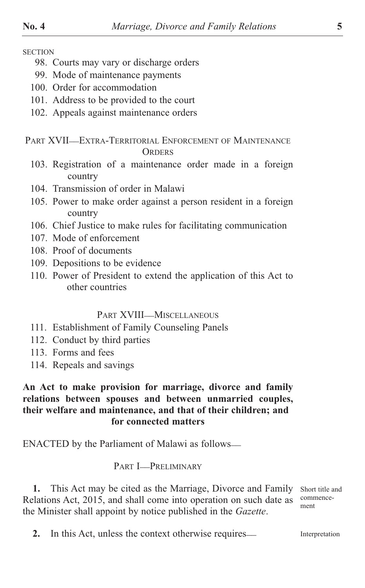- 98. Courts may vary or discharge orders
- 99. Mode of maintenance payments
- 100. Order for accommodation
- 101. Address to be provided to the court
- 102. Appeals against maintenance orders

### PART XVII—EXTRA-TERRITORIAL ENFORCEMENT OF MAINTENANCE **ORDERS**

- 103. Registration of a maintenance order made in a foreign country
- 104. Transmission of order in Malawi
- 105. Power to make order against a person resident in a foreign country
- 106. Chief Justice to make rules for facilitating communication
- 107. Mode of enforcement
- 108. Proof of documents
- 109. Depositions to be evidence
- 110. Power of President to extend the application of this Act to other countries

#### PART XVIII-MISCELLANEOUS

- 111. Establishment of Family Counseling Panels
- 112. Conduct by third parties
- 113. Forms and fees
- 114. Repeals and savings

## **An Act to make provision for marriage, divorce and family relations between spouses and between unmarried couples, their welfare and maintenance, and that of their children; and for connected matters**

ENACTED by the Parliament of Malawi as follows—

PART **I\_PRELIMINARY** 

**1.** This Act may be cited as the Marriage, Divorce and Family Relations Act, 2015, and shall come into operation on such date as the Minister shall appoint by notice published in the *Gazette*.

Short title and commencement

**2.** In this Act, unless the context otherwise requires— Interpretation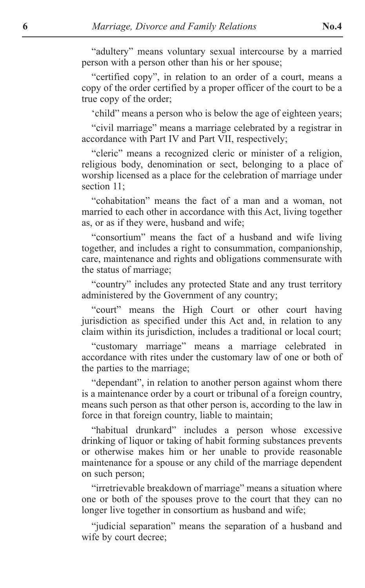"adultery" means voluntary sexual intercourse by a married person with a person other than his or her spouse;

"certified copy", in relation to an order of a court, means a copy of the order certified by a proper officer of the court to be a true copy of the order;

'child" means a person who is below the age of eighteen years;

"civil marriage" means a marriage celebrated by a registrar in accordance with Part IV and Part VII, respectively;

"cleric" means a recognized cleric or minister of a religion, religious body, denomination or sect, belonging to a place of worship licensed as a place for the celebration of marriage under section 11;

"cohabitation" means the fact of a man and a woman, not married to each other in accordance with this Act, living together as, or as if they were, husband and wife;

"consortium" means the fact of a husband and wife living together, and includes a right to consummation, companionship, care, maintenance and rights and obligations commensurate with the status of marriage;

"country" includes any protected State and any trust territory administered by the Government of any country;

"court" means the High Court or other court having jurisdiction as specified under this Act and, in relation to any claim within its jurisdiction, includes a traditional or local court;

"customary marriage" means a marriage celebrated in accordance with rites under the customary law of one or both of the parties to the marriage;

"dependant", in relation to another person against whom there is a maintenance order by a court or tribunal of a foreign country, means such person as that other person is, according to the law in force in that foreign country, liable to maintain;

"habitual drunkard" includes a person whose excessive drinking of liquor or taking of habit forming substances prevents or otherwise makes him or her unable to provide reasonable maintenance for a spouse or any child of the marriage dependent on such person;

"irretrievable breakdown of marriage" means a situation where one or both of the spouses prove to the court that they can no longer live together in consortium as husband and wife;

"judicial separation" means the separation of a husband and wife by court decree;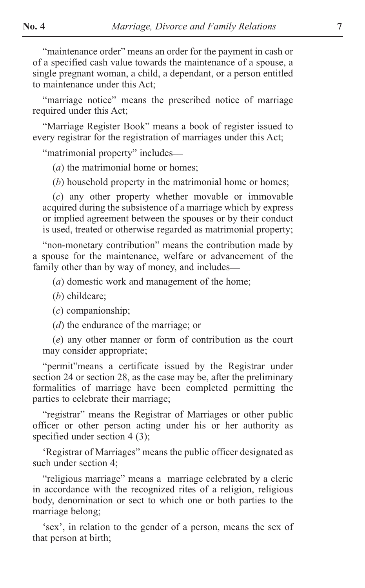"maintenance order" means an order for the payment in cash or of a specified cash value towards the maintenance of a spouse, a single pregnant woman, a child, a dependant, or a person entitled to maintenance under this Act;

"marriage notice" means the prescribed notice of marriage required under this Act;

"Marriage Register Book" means a book of register issued to every registrar for the registration of marriages under this Act;

"matrimonial property" includes\_\_

(*a*) the matrimonial home or homes;

(*b*) household property in the matrimonial home or homes;

(*c*) any other property whether movable or immovable acquired during the subsistence of a marriage which by express or implied agreement between the spouses or by their conduct is used, treated or otherwise regarded as matrimonial property;

"non-monetary contribution" means the contribution made by a spouse for the maintenance, welfare or advancement of the family other than by way of money, and includes—

(*a*) domestic work and management of the home;

(*b*) childcare;

(*c*) companionship;

(*d*) the endurance of the marriage; or

(*e*) any other manner or form of contribution as the court may consider appropriate;

"permit"means a certificate issued by the Registrar under section 24 or section 28, as the case may be, after the preliminary formalities of marriage have been completed permitting the parties to celebrate their marriage;

"registrar" means the Registrar of Marriages or other public officer or other person acting under his or her authority as specified under section 4 (3);

'Registrar of Marriages" means the public officer designated as such under section 4;

"religious marriage" means a marriage celebrated by a cleric in accordance with the recognized rites of a religion, religious body, denomination or sect to which one or both parties to the marriage belong;

'sex', in relation to the gender of a person, means the sex of that person at birth;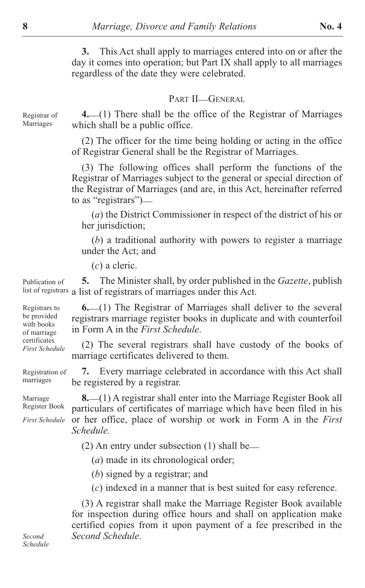**3.** This Act shall apply to marriages entered into on or after the day it comes into operation; but Part IX shall apply to all marriages regardless of the date they were celebrated.

## PART II-GENERAL

Registrar of Marriages

**4.** \_\_(1) There shall be the office of the Registrar of Marriages which shall be a public office.

(2) The officer for the time being holding or acting in the office of Registrar General shall be the Registrar of Marriages.

(3) The following offices shall perform the functions of the Registrar of Marriages subject to the general or special direction of the Registrar of Marriages (and are, in this Act, hereinafter referred to as "registrars")\_\_

(*a*) the District Commissioner in respect of the district of his or her jurisdiction;

(*b*) a traditional authority with powers to register a marriage under the Act; and

(*c*) a cleric.

**5.** The Minister shall, by order published in the *Gazette*, publish list of registrars a list of registrars of marriages under this Act. Publication of

> **6.** \_\_(1) The Registrar of Marriages shall deliver to the several registrars marriage register books in duplicate and with counterfoil in Form A in the *First Schedule*.

> (2) The several registrars shall have custody of the books of marriage certificates delivered to them.

**7.** Every marriage celebrated in accordance with this Act shall be registered by a registrar. Registration of marriages

Marriage Register Book

Registrars to be provided with books of marriage certificates *First Schedule*

*First Schedule*

**8.** \_\_(1) A registrar shall enter into the Marriage Register Book all particulars of certificates of marriage which have been filed in his or her office, place of worship or work in Form A in the *First Schedule.*

(2) An entry under subsection (1) shall be\_\_

(*a*) made in its chronological order;

(*b*) signed by a registrar; and

(*c*) indexed in a manner that is best suited for easy reference.

(3) A registrar shall make the Marriage Register Book available for inspection during office hours and shall on application make certified copies from it upon payment of a fee prescribed in the *Second Schedule*.

*Second Schedule*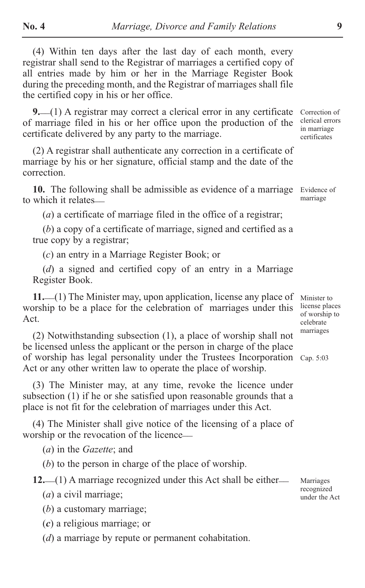(4) Within ten days after the last day of each month, every registrar shall send to the Registrar of marriages a certified copy of all entries made by him or her in the Marriage Register Book during the preceding month, and the Registrar of marriages shall file the certified copy in his or her office.

**9.** \_\_(1) A registrar may correct a clerical error in any certificate of marriage filed in his or her office upon the production of the certificate delivered by any party to the marriage.

(2) A registrar shall authenticate any correction in a certificate of marriage by his or her signature, official stamp and the date of the correction.

**10.** The following shall be admissible as evidence of a marriage to which it relates\_\_

(*a*) a certificate of marriage filed in the office of a registrar;

(*b*) a copy of a certificate of marriage, signed and certified as a true copy by a registrar;

(*c*) an entry in a Marriage Register Book; or

(*d*) a signed and certified copy of an entry in a Marriage Register Book.

11. (1) The Minister may, upon application, license any place of worship to be a place for the celebration of marriages under this Act.

(2) Notwithstanding subsection (1), a place of worship shall not be licensed unless the applicant or the person in charge of the place of worship has legal personality under the Trustees Incorporation Cap. 5:03 Act or any other written law to operate the place of worship.

(3) The Minister may, at any time, revoke the licence under subsection (1) if he or she satisfied upon reasonable grounds that a place is not fit for the celebration of marriages under this Act.

(4) The Minister shall give notice of the licensing of a place of worship or the revocation of the licence—

(*a*) in the *Gazette*; and

(*b*) to the person in charge of the place of worship.

12.  $(1)$  A marriage recognized under this Act shall be either

(*a*) a civil marriage;

(*b*) a customary marriage;

(*c*) a religious marriage; or

(*d*) a marriage by repute or permanent cohabitation.

Correction of clerical errors in marriage certificates

Evidence of marriage

Minister to license places of worship to celebrate marriages

Marriages recognized under the Act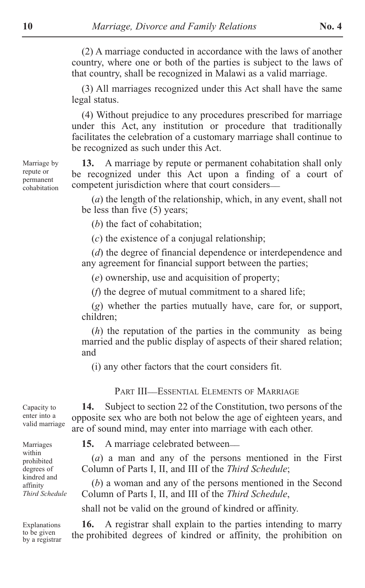(2) A marriage conducted in accordance with the laws of another country, where one or both of the parties is subject to the laws of that country, shall be recognized in Malawi as a valid marriage.

(3) All marriages recognized under this Act shall have the same legal status.

(4) Without prejudice to any procedures prescribed for marriage under this Act, any institution or procedure that traditionally facilitates the celebration of a customary marriage shall continue to be recognized as such under this Act.

**13.** A marriage by repute or permanent cohabitation shall only be recognized under this Act upon a finding of a court of competent jurisdiction where that court considers\_\_

(*a*) the length of the relationship, which, in any event, shall not be less than five (5) years;

(*b*) the fact of cohabitation;

(*c*) the existence of a conjugal relationship;

(*d*) the degree of financial dependence or interdependence and any agreement for financial support between the parties;

(*e*) ownership, use and acquisition of property;

(*f*) the degree of mutual commitment to a shared life;

(*g*) whether the parties mutually have, care for, or support, children;

(*h*) the reputation of the parties in the community as being married and the public display of aspects of their shared relation; and

(i) any other factors that the court considers fit.

PART III\_ESSENTIAL ELEMENTS OF MARRIAGE

**14.** Subject to section 22 of the Constitution, two persons of the opposite sex who are both not below the age of eighteen years, and are of sound mind, may enter into marriage with each other.

**15.** A marriage celebrated between—

(*a*) a man and any of the persons mentioned in the First Column of Parts I, II, and III of the *Third Schedule*;

(*b*) a woman and any of the persons mentioned in the Second Column of Parts I, II, and III of the *Third Schedule*,

shall not be valid on the ground of kindred or affinity.

**16.** A registrar shall explain to the parties intending to marry the prohibited degrees of kindred or affinity, the prohibition on

Marriage by repute or permanent cohabitation

enter into a valid marriage

Capacity to

Marriages within prohibited degrees of kindred and affinity *Third Schedule*

Explanations to be given by a registrar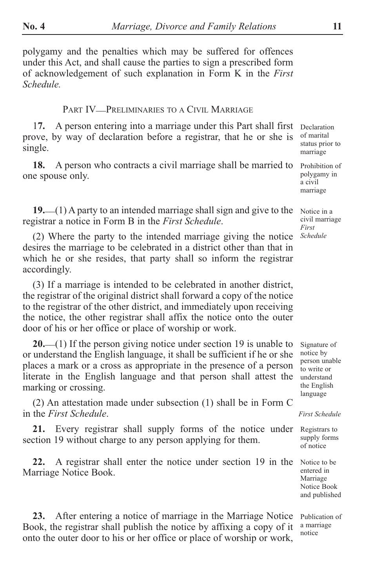polygamy and the penalties which may be suffered for offences under this Act, and shall cause the parties to sign a prescribed form of acknowledgement of such explanation in Form K in the *First Schedule.*

#### PART IV\_PRELIMINARIES TO A CIVIL MARRIAGE

1**7.** A person entering into a marriage under this Part shall first prove, by way of declaration before a registrar, that he or she is single.

**18.** A person who contracts a civil marriage shall be married to one spouse only.

**19.** \_\_(1) A party to an intended marriage shall sign and give to the registrar a notice in Form B in the *First Schedule*.

(2) Where the party to the intended marriage giving the notice desires the marriage to be celebrated in a district other than that in which he or she resides, that party shall so inform the registrar accordingly.

(3) If a marriage is intended to be celebrated in another district, the registrar of the original district shall forward a copy of the notice to the registrar of the other district, and immediately upon receiving the notice, the other registrar shall affix the notice onto the outer door of his or her office or place of worship or work.

20. (1) If the person giving notice under section 19 is unable to or understand the English language, it shall be sufficient if he or she places a mark or a cross as appropriate in the presence of a person literate in the English language and that person shall attest the marking or crossing.

(2) An attestation made under subsection (1) shall be in Form C in the *First Schedule*.

**21.** Every registrar shall supply forms of the notice under section 19 without charge to any person applying for them.

**22.** A registrar shall enter the notice under section 19 in the Marriage Notice Book.

**23.** After entering a notice of marriage in the Marriage Notice Book, the registrar shall publish the notice by affixing a copy of it onto the outer door to his or her office or place of worship or work,

Declaration of marital status prior to marriage

Prohibition of polygamy in a civil marriage

Notice in a civil marriage *First Schedule*

Signature of notice by person unable to write or understand the English language

*First Schedule*

Registrars to supply forms of notice

Notice to be entered in Marriage Notice Book and published

Publication of a marriage notice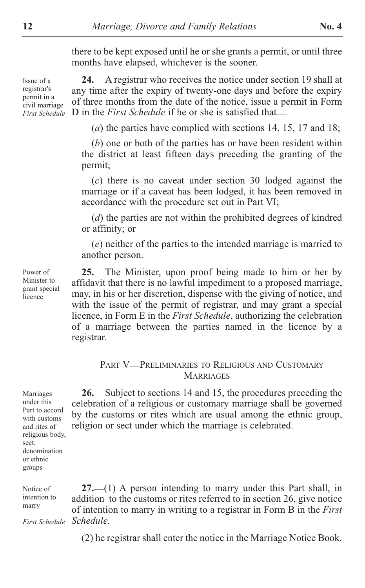there to be kept exposed until he or she grants a permit, or until three months have elapsed, whichever is the sooner.

Issue of a registrar's permit in a civil marriage *First Schedule*

**24.** A registrar who receives the notice under section 19 shall at any time after the expiry of twenty-one days and before the expiry of three months from the date of the notice, issue a permit in Form D in the *First Schedule* if he or she is satisfied that

(*a*) the parties have complied with sections 14, 15, 17 and 18;

(*b*) one or both of the parties has or have been resident within the district at least fifteen days preceding the granting of the permit;

(*c*) there is no caveat under section 30 lodged against the marriage or if a caveat has been lodged, it has been removed in accordance with the procedure set out in Part VI;

(*d*) the parties are not within the prohibited degrees of kindred or affinity; or

(*e*) neither of the parties to the intended marriage is married to another person.

**25.** The Minister, upon proof being made to him or her by affidavit that there is no lawful impediment to a proposed marriage, may, in his or her discretion, dispense with the giving of notice, and with the issue of the permit of registrar, and may grant a special licence, in Form E in the *First Schedule*, authorizing the celebration of a marriage between the parties named in the licence by a registrar.

#### PART V\_\_PRELIMINARIES TO RELIGIOUS AND CUSTOMARY **MARRIAGES**

**26.** Subject to sections 14 and 15, the procedures preceding the celebration of a religious or customary marriage shall be governed by the customs or rites which are usual among the ethnic group,

religion or sect under which the marriage is celebrated.

Marriages under this Part to accord with customs and rites of religious body, sect, denomination or ethnic groups

Notice of intention to marry

*Schedule. First Schedule*

**27.** \_\_(1) A person intending to marry under this Part shall, in addition to the customs or rites referred to in section 26, give notice of intention to marry in writing to a registrar in Form B in the *First*

(2) he registrar shall enter the notice in the Marriage Notice Book.

Minister to grant special licence

Power of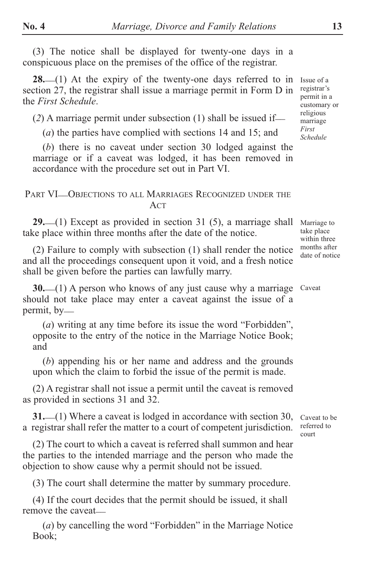(3) The notice shall be displayed for twenty-one days in a conspicuous place on the premises of the office of the registrar.

**28.** (1) At the expiry of the twenty-one days referred to in section 27, the registrar shall issue a marriage permit in Form D in the *First Schedule*.

 $(2)$  A marriage permit under subsection  $(1)$  shall be issued if—

(*a*) the parties have complied with sections 14 and 15; and

(*b*) there is no caveat under section 30 lodged against the marriage or if a caveat was lodged, it has been removed in accordance with the procedure set out in Part VI.

#### PART VI—OBJECTIONS TO ALL MARRIAGES RECOGNIZED UNDER THE ACT

29. (1) Except as provided in section 31 (5), a marriage shall take place within three months after the date of the notice.

(2) Failure to comply with subsection (1) shall render the notice and all the proceedings consequent upon it void, and a fresh notice shall be given before the parties can lawfully marry.

**30.** (1) A person who knows of any just cause why a marriage Caveat should not take place may enter a caveat against the issue of a permit, by—

(*a*) writing at any time before its issue the word "Forbidden", opposite to the entry of the notice in the Marriage Notice Book; and

(*b*) appending his or her name and address and the grounds upon which the claim to forbid the issue of the permit is made.

(2) A registrar shall not issue a permit until the caveat is removed as provided in sections 31 and 32.

**31.** (1) Where a caveat is lodged in accordance with section 30, a registrar shall refer the matter to a court of competent jurisdiction.

(2) The court to which a caveat is referred shall summon and hear the parties to the intended marriage and the person who made the objection to show cause why a permit should not be issued.

(3) The court shall determine the matter by summary procedure.

(4) If the court decides that the permit should be issued, it shall remove the caveat

(*a*) by cancelling the word "Forbidden" in the Marriage Notice Book;

Issue of a registrar's permit in a customary or religious marriage *First Schedule*

Marriage to take place within three months after date of notice

Caveat to be referred to court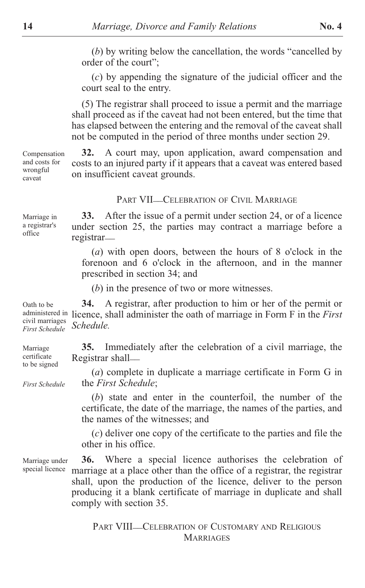(*b*) by writing below the cancellation, the words "cancelled by order of the court";

(*c*) by appending the signature of the judicial officer and the court seal to the entry.

(5) The registrar shall proceed to issue a permit and the marriage shall proceed as if the caveat had not been entered, but the time that has elapsed between the entering and the removal of the caveat shall not be computed in the period of three months under section 29.

**32.** A court may, upon application, award compensation and costs to an injured party if it appears that a caveat was entered based on insufficient caveat grounds. Compensation and costs for wrongful

PART VII—CELEBRATION OF CIVIL MARRIAGE

**33.** After the issue of a permit under section 24, or of a licence under section 25, the parties may contract a marriage before a registrar\_\_

(*a*) with open doors, between the hours of 8 o'clock in the forenoon and 6 o'clock in the afternoon, and in the manner prescribed in section 34; and

(*b*) in the presence of two or more witnesses.

**34.** A registrar, after production to him or her of the permit or administered in licence, shall administer the oath of marriage in Form F in the *First* civil marriages *Schedule*. Oath to be *First Schedule*

**35.** Immediately after the celebration of a civil marriage, the Registrar shall-Marriage certificate to be signed

> (*a*) complete in duplicate a marriage certificate in Form G in the *First Schedule*;

(*b*) state and enter in the counterfoil, the number of the certificate, the date of the marriage, the names of the parties, and the names of the witnesses; and

(*c*) deliver one copy of the certificate to the parties and file the other in his office.

**36.** Where a special licence authorises the celebration of marriage at a place other than the office of a registrar, the registrar shall, upon the production of the licence, deliver to the person producing it a blank certificate of marriage in duplicate and shall comply with section 35.

> PART VIII\_CELEBRATION OF CUSTOMARY AND RELIGIOUS **MARRIAGES**

Marriage under special licence

*First Schedule*

caveat

Marriage in a registrar's office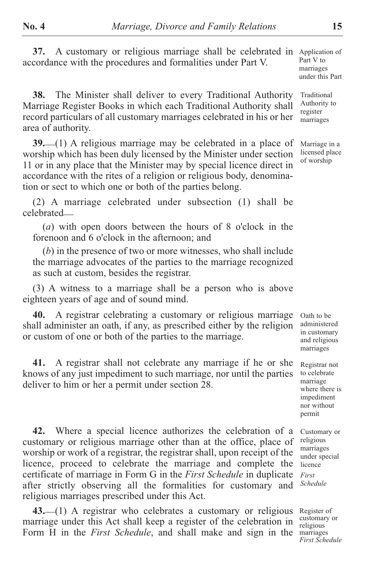37. A customary or religious marriage shall be celebrated in Application of accordance with the procedures and formalities under Part V.

**38.** The Minister shall deliver to every Traditional Authority Marriage Register Books in which each Traditional Authority shall record particulars of all customary marriages celebrated in his or her area of authority.

**39.** \_\_(1) A religious marriage may be celebrated in a place of worship which has been duly licensed by the Minister under section 11 or in any place that the Minister may by special licence direct in accordance with the rites of a religion or religious body, denomination or sect to which one or both of the parties belong.

(2) A marriage celebrated under subsection (1) shall be celebrated\_\_

(*a*) with open doors between the hours of 8 o'clock in the forenoon and 6 o'clock in the afternoon; and

(*b*) in the presence of two or more witnesses, who shall include the marriage advocates of the parties to the marriage recognized as such at custom, besides the registrar.

(3) A witness to a marriage shall be a person who is above eighteen years of age and of sound mind.

**40.** A registrar celebrating a customary or religious marriage shall administer an oath, if any, as prescribed either by the religion or custom of one or both of the parties to the marriage.

**41.** A registrar shall not celebrate any marriage if he or she knows of any just impediment to such marriage, nor until the parties deliver to him or her a permit under section 28.

**42.** Where a special licence authorizes the celebration of a customary or religious marriage other than at the office, place of worship or work of a registrar, the registrar shall, upon receipt of the licence, proceed to celebrate the marriage and complete the certificate of marriage in Form G in the *First Schedule* in duplicate after strictly observing all the formalities for customary and religious marriages prescribed under this Act.

43. (1) A registrar who celebrates a customary or religious marriage under this Act shall keep a register of the celebration in Form H in the *First Schedule*, and shall make and sign in the

Part V to marriages under this Part

Traditional Authority to register marriages

Marriage in a licensed place of worship

Oath to be administered in customary and religious marriages

Registrar not to celebrate marriage where there is impediment nor without permit

Customary or religious marriages under special licence *First Schedule*

Register of customary or religious marriages *First Schedule*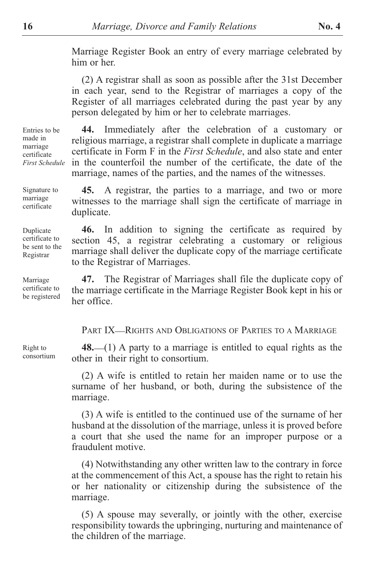Marriage Register Book an entry of every marriage celebrated by him or her.

(2) A registrar shall as soon as possible after the 31st December in each year, send to the Registrar of marriages a copy of the Register of all marriages celebrated during the past year by any person delegated by him or her to celebrate marriages.

**44.** Immediately after the celebration of a customary or religious marriage, a registrar shall complete in duplicate a marriage certificate in Form F in the *First Schedule*, and also state and enter in the counterfoil the number of the certificate, the date of the marriage, names of the parties, and the names of the witnesses. *First Schedule*

> **45.** A registrar, the parties to a marriage, and two or more witnesses to the marriage shall sign the certificate of marriage in duplicate.

**46.** In addition to signing the certificate as required by section 45, a registrar celebrating a customary or religious marriage shall deliver the duplicate copy of the marriage certificate to the Registrar of Marriages.

**47.** The Registrar of Marriages shall file the duplicate copy of the marriage certificate in the Marriage Register Book kept in his or her office. certificate to be registered

PART IX-RIGHTS AND OBLIGATIONS OF PARTIES TO A MARRIAGE

48. (1) A party to a marriage is entitled to equal rights as the other in their right to consortium.

(2) A wife is entitled to retain her maiden name or to use the surname of her husband, or both, during the subsistence of the marriage.

(3) A wife is entitled to the continued use of the surname of her husband at the dissolution of the marriage, unless it is proved before a court that she used the name for an improper purpose or a fraudulent motive.

(4) Notwithstanding any other written law to the contrary in force at the commencement of this Act, a spouse has the right to retain his or her nationality or citizenship during the subsistence of the marriage.

(5) A spouse may severally, or jointly with the other, exercise responsibility towards the upbringing, nurturing and maintenance of the children of the marriage.

Right to consortium

Entries to be made in marriage certificate

Signature to marriage certificate

Duplicate certificate to be sent to the Registrar

Marriage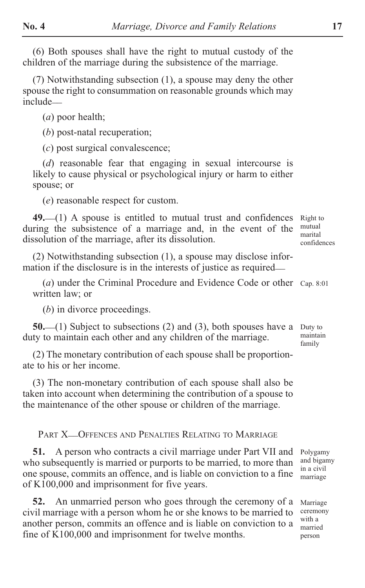(6) Both spouses shall have the right to mutual custody of the children of the marriage during the subsistence of the marriage.

(7) Notwithstanding subsection (1), a spouse may deny the other spouse the right to consummation on reasonable grounds which may include\_\_

(*a*) poor health;

(*b*) post-natal recuperation;

(*c*) post surgical convalescence;

(*d*) reasonable fear that engaging in sexual intercourse is likely to cause physical or psychological injury or harm to either spouse; or

(*e*) reasonable respect for custom.

**49.** \_\_(1) A spouse is entitled to mutual trust and confidences during the subsistence of a marriage and, in the event of the dissolution of the marriage, after its dissolution.

Right to mutual marital confidences

(2) Notwithstanding subsection (1), a spouse may disclose information if the disclosure is in the interests of justice as required—

(*a*) under the Criminal Procedure and Evidence Code or other Cap. 8:01 written law; or

(*b*) in divorce proceedings.

**50.** (1) Subject to subsections (2) and (3), both spouses have a duty to maintain each other and any children of the marriage.

(2) The monetary contribution of each spouse shall be proportionate to his or her income.

(3) The non-monetary contribution of each spouse shall also be taken into account when determining the contribution of a spouse to the maintenance of the other spouse or children of the marriage.

PART X\_OFFENCES AND PENALTIES RELATING TO MARRIAGE

**51.** A person who contracts a civil marriage under Part VII and who subsequently is married or purports to be married, to more than one spouse, commits an offence, and is liable on conviction to a fine of K100,000 and imprisonment for five years.

**52.** An unmarried person who goes through the ceremony of a civil marriage with a person whom he or she knows to be married to another person, commits an offence and is liable on conviction to a fine of K100,000 and imprisonment for twelve months.

Duty to maintain family

Polygamy and bigamy in a civil marriage

Marriage ceremony with a married person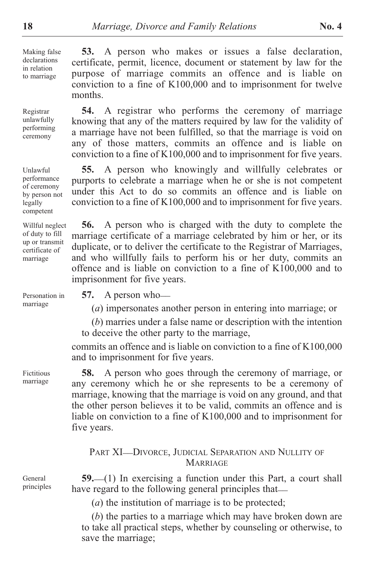Making false declarations in relation to marriage

Registrar unlawfully performing ceremony

Unlawful performance of ceremony by person not legally competent

Willful neglect of duty to fill up or transmit certificate of marriage

Personation in marriage

Fictitious marriage

General principles

**53.** A person who makes or issues a false declaration, certificate, permit, licence, document or statement by law for the purpose of marriage commits an offence and is liable on conviction to a fine of K100,000 and to imprisonment for twelve months.

**54.** A registrar who performs the ceremony of marriage knowing that any of the matters required by law for the validity of a marriage have not been fulfilled, so that the marriage is void on any of those matters, commits an offence and is liable on conviction to a fine of K100,000 and to imprisonment for five years.

**55.** A person who knowingly and willfully celebrates or purports to celebrate a marriage when he or she is not competent under this Act to do so commits an offence and is liable on conviction to a fine of K100,000 and to imprisonment for five years.

**56.** A person who is charged with the duty to complete the marriage certificate of a marriage celebrated by him or her, or its duplicate, or to deliver the certificate to the Registrar of Marriages, and who willfully fails to perform his or her duty, commits an offence and is liable on conviction to a fine of K100,000 and to imprisonment for five years.

**57.** A person who

(*a*) impersonates another person in entering into marriage; or

(*b*) marries under a false name or description with the intention to deceive the other party to the marriage,

commits an offence and is liable on conviction to a fine of K100,000 and to imprisonment for five years.

**58.** A person who goes through the ceremony of marriage, or any ceremony which he or she represents to be a ceremony of marriage, knowing that the marriage is void on any ground, and that the other person believes it to be valid, commits an offence and is liable on conviction to a fine of K100,000 and to imprisonment for five years.

#### PART XI-DIVORCE, JUDICIAL SEPARATION AND NULLITY OF **MARRIAGE**

**59.** (1) In exercising a function under this Part, a court shall have regard to the following general principles that

(*a*) the institution of marriage is to be protected;

(*b*) the parties to a marriage which may have broken down are to take all practical steps, whether by counseling or otherwise, to save the marriage;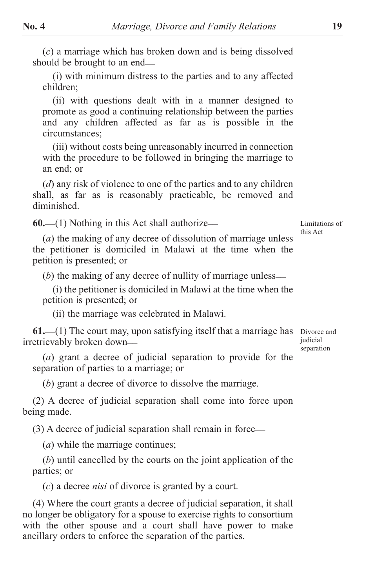(*c*) a marriage which has broken down and is being dissolved should be brought to an end—

(i) with minimum distress to the parties and to any affected children;

(ii) with questions dealt with in a manner designed to promote as good a continuing relationship between the parties and any children affected as far as is possible in the circumstances;

(iii) without costs being unreasonably incurred in connection with the procedure to be followed in bringing the marriage to an end; or

(*d*) any risk of violence to one of the parties and to any children shall, as far as is reasonably practicable, be removed and diminished.

**60.** \_\_(1) Nothing in this Act shall authorize\_\_

(*a*) the making of any decree of dissolution of marriage unless the petitioner is domiciled in Malawi at the time when the petition is presented; or

(*b*) the making of any decree of nullity of marriage unless—

(i) the petitioner is domiciled in Malawi at the time when the petition is presented; or

(ii) the marriage was celebrated in Malawi.

**61.** (1) The court may, upon satisfying itself that a marriage has Divorce and irretrievably broken down\_\_ judicial separation

(*a*) grant a decree of judicial separation to provide for the separation of parties to a marriage; or

(*b*) grant a decree of divorce to dissolve the marriage.

(2) A decree of judicial separation shall come into force upon being made.

(3) A decree of judicial separation shall remain in force\_\_

(*a*) while the marriage continues;

(*b*) until cancelled by the courts on the joint application of the parties; or

(*c*) a decree *nisi* of divorce is granted by a court.

(4) Where the court grants a decree of judicial separation, it shall no longer be obligatory for a spouse to exercise rights to consortium with the other spouse and a court shall have power to make ancillary orders to enforce the separation of the parties.

Limitations of this Act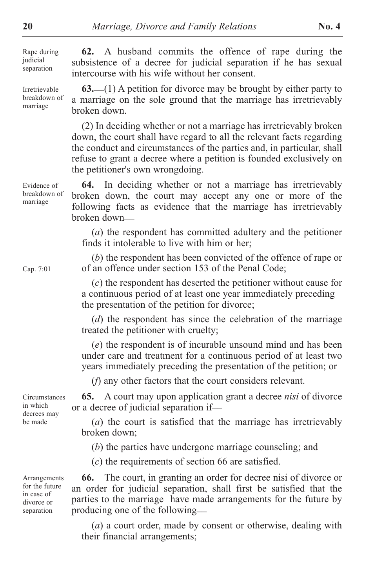Rape during judicial separation

Irretrievable breakdown of marriage

**62.** A husband commits the offence of rape during the subsistence of a decree for judicial separation if he has sexual intercourse with his wife without her consent.

**63.** \_\_(1) A petition for divorce may be brought by either party to a marriage on the sole ground that the marriage has irretrievably broken down.

(2) In deciding whether or not a marriage has irretrievably broken down, the court shall have regard to all the relevant facts regarding the conduct and circumstances of the parties and, in particular, shall refuse to grant a decree where a petition is founded exclusively on the petitioner's own wrongdoing.

**64.** In deciding whether or not a marriage has irretrievably broken down, the court may accept any one or more of the following facts as evidence that the marriage has irretrievably broken down\_\_

(*a*) the respondent has committed adultery and the petitioner finds it intolerable to live with him or her;

(*b*) the respondent has been convicted of the offence of rape or of an offence under section 153 of the Penal Code;

(*c*) the respondent has deserted the petitioner without cause for a continuous period of at least one year immediately preceding the presentation of the petition for divorce;

(*d*) the respondent has since the celebration of the marriage treated the petitioner with cruelty;

(*e*) the respondent is of incurable unsound mind and has been under care and treatment for a continuous period of at least two years immediately preceding the presentation of the petition; or

(*f*) any other factors that the court considers relevant.

**65.** A court may upon application grant a decree *nisi* of divorce or a decree of judicial separation if\_\_

(*a*) the court is satisfied that the marriage has irretrievably broken down;

(*b*) the parties have undergone marriage counseling; and

(*c*) the requirements of section 66 are satisfied.

**66.** The court, in granting an order for decree nisi of divorce or an order for judicial separation, shall first be satisfied that the parties to the marriage have made arrangements for the future by producing one of the following\_\_

(*a*) a court order, made by consent or otherwise, dealing with their financial arrangements;

Evidence of breakdown of marriage

Cap. 7:01

**Circumstances** in which decrees may be made

Arrangements for the future in case of divorce or separation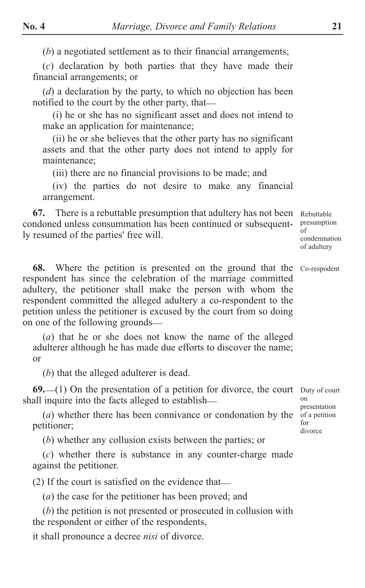(*b*) a negotiated settlement as to their financial arrangements;

(*c*) declaration by both parties that they have made their financial arrangements; or

(*d*) a declaration by the party, to which no objection has been notified to the court by the other party, that

(i) he or she has no significant asset and does not intend to make an application for maintenance;

(ii) he or she believes that the other party has no significant assets and that the other party does not intend to apply for maintenance;

(iii) there are no financial provisions to be made; and

(iv) the parties do not desire to make any financial arrangement.

**67.** There is a rebuttable presumption that adultery has not been Rebuttable condoned unless consummation has been continued or subsequently resumed of the parties' free will. presumption of

condemnation of adultery

**68.** Where the petition is presented on the ground that the Co-respodent respondent has since the celebration of the marriage committed adultery, the petitioner shall make the person with whom the respondent committed the alleged adultery a co-respondent to the petition unless the petitioner is excused by the court from so doing on one of the following grounds\_\_

(*a*) that he or she does not know the name of the alleged adulterer although he has made due efforts to discover the name; or

(*b*) that the alleged adulterer is dead.

**69.** (1) On the presentation of a petition for divorce, the court Duty of court shall inquire into the facts alleged to establish—

(*a*) whether there has been connivance or condonation by the petitioner;

(*b*) whether any collusion exists between the parties; or

(*c*) whether there is substance in any counter-charge made against the petitioner.

(2) If the court is satisfied on the evidence that \_\_

(*a*) the case for the petitioner has been proved; and

(*b*) the petition is not presented or prosecuted in collusion with the respondent or either of the respondents,

it shall pronounce a decree *nisi* of divorce.

on presentation of a petition for divorce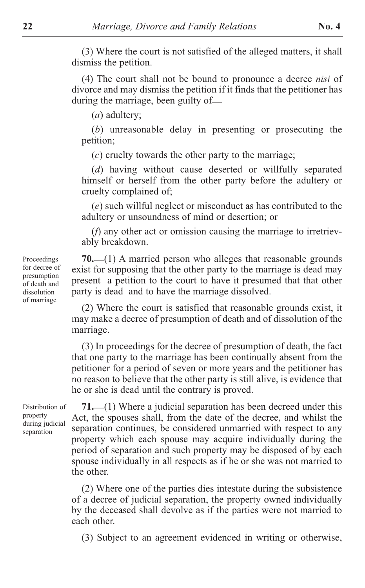(3) Where the court is not satisfied of the alleged matters, it shall dismiss the petition.

(4) The court shall not be bound to pronounce a decree *nisi* of divorce and may dismiss the petition if it finds that the petitioner has during the marriage, been guilty of—

(*a*) adultery;

(*b*) unreasonable delay in presenting or prosecuting the petition;

(*c*) cruelty towards the other party to the marriage;

(*d*) having without cause deserted or willfully separated himself or herself from the other party before the adultery or cruelty complained of;

(*e*) such willful neglect or misconduct as has contributed to the adultery or unsoundness of mind or desertion; or

(*f*) any other act or omission causing the marriage to irretrievably breakdown.

70. (1) A married person who alleges that reasonable grounds exist for supposing that the other party to the marriage is dead may present a petition to the court to have it presumed that that other party is dead and to have the marriage dissolved.

(2) Where the court is satisfied that reasonable grounds exist, it may make a decree of presumption of death and of dissolution of the marriage.

(3) In proceedings for the decree of presumption of death, the fact that one party to the marriage has been continually absent from the petitioner for a period of seven or more years and the petitioner has no reason to believe that the other party is still alive, is evidence that he or she is dead until the contrary is proved.

Distribution of property during judicial separation

71. (1) Where a judicial separation has been decreed under this Act, the spouses shall, from the date of the decree, and whilst the separation continues, be considered unmarried with respect to any property which each spouse may acquire individually during the period of separation and such property may be disposed of by each spouse individually in all respects as if he or she was not married to the other.

(2) Where one of the parties dies intestate during the subsistence of a decree of judicial separation, the property owned individually by the deceased shall devolve as if the parties were not married to each other.

(3) Subject to an agreement evidenced in writing or otherwise,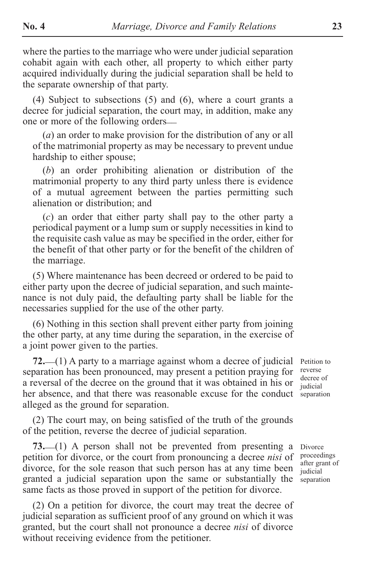where the parties to the marriage who were under judicial separation cohabit again with each other, all property to which either party acquired individually during the judicial separation shall be held to the separate ownership of that party.

(4) Subject to subsections (5) and (6), where a court grants a decree for judicial separation, the court may, in addition, make any one or more of the following orders\_\_

(*a*) an order to make provision for the distribution of any or all of the matrimonial property as may be necessary to prevent undue hardship to either spouse;

(*b*) an order prohibiting alienation or distribution of the matrimonial property to any third party unless there is evidence of a mutual agreement between the parties permitting such alienation or distribution; and

(*c*) an order that either party shall pay to the other party a periodical payment or a lump sum or supply necessities in kind to the requisite cash value as may be specified in the order, either for the benefit of that other party or for the benefit of the children of the marriage.

(5) Where maintenance has been decreed or ordered to be paid to either party upon the decree of judicial separation, and such maintenance is not duly paid, the defaulting party shall be liable for the necessaries supplied for the use of the other party.

(6) Nothing in this section shall prevent either party from joining the other party, at any time during the separation, in the exercise of a joint power given to the parties.

**72.** \_\_(1) A party to a marriage against whom a decree of judicial separation has been pronounced, may present a petition praying for a reversal of the decree on the ground that it was obtained in his or her absence, and that there was reasonable excuse for the conduct separation alleged as the ground for separation.

(2) The court may, on being satisfied of the truth of the grounds of the petition, reverse the decree of judicial separation.

73. (1) A person shall not be prevented from presenting a petition for divorce, or the court from pronouncing a decree *nisi* of divorce, for the sole reason that such person has at any time been granted a judicial separation upon the same or substantially the same facts as those proved in support of the petition for divorce.

(2) On a petition for divorce, the court may treat the decree of judicial separation as sufficient proof of any ground on which it was granted, but the court shall not pronounce a decree *nisi* of divorce without receiving evidence from the petitioner.

Petition to reverse decree of judicial

Divorce proceedings after grant of judicial separation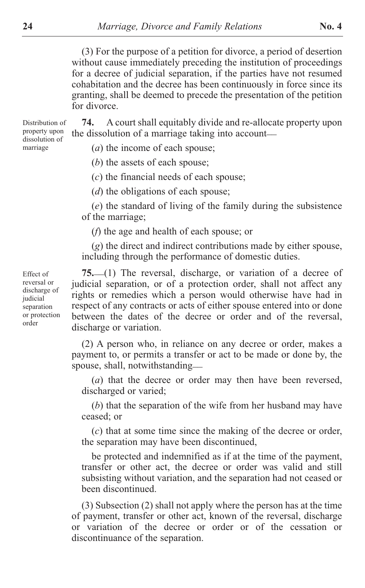(3) For the purpose of a petition for divorce, a period of desertion without cause immediately preceding the institution of proceedings for a decree of judicial separation, if the parties have not resumed cohabitation and the decree has been continuously in force since its granting, shall be deemed to precede the presentation of the petition for divorce.

**74.** A court shall equitably divide and re-allocate property upon the dissolution of a marriage taking into account— Distribution of

(*a*) the income of each spouse;

(*b*) the assets of each spouse;

(*c*) the financial needs of each spouse;

(*d*) the obligations of each spouse;

(*e*) the standard of living of the family during the subsistence of the marriage;

(*f*) the age and health of each spouse; or

(*g*) the direct and indirect contributions made by either spouse, including through the performance of domestic duties.

**75.** \_\_(1) The reversal, discharge, or variation of a decree of judicial separation, or of a protection order, shall not affect any rights or remedies which a person would otherwise have had in respect of any contracts or acts of either spouse entered into or done between the dates of the decree or order and of the reversal, discharge or variation.

(2) A person who, in reliance on any decree or order, makes a payment to, or permits a transfer or act to be made or done by, the spouse, shall, notwithstanding—

(*a*) that the decree or order may then have been reversed, discharged or varied;

(*b*) that the separation of the wife from her husband may have ceased; or

(*c*) that at some time since the making of the decree or order, the separation may have been discontinued,

be protected and indemnified as if at the time of the payment, transfer or other act, the decree or order was valid and still subsisting without variation, and the separation had not ceased or been discontinued.

(3) Subsection (2) shall not apply where the person has at the time of payment, transfer or other act, known of the reversal, discharge or variation of the decree or order or of the cessation or discontinuance of the separation.

Effect of reversal or discharge of judicial separation or protection order

property upon dissolution of marriage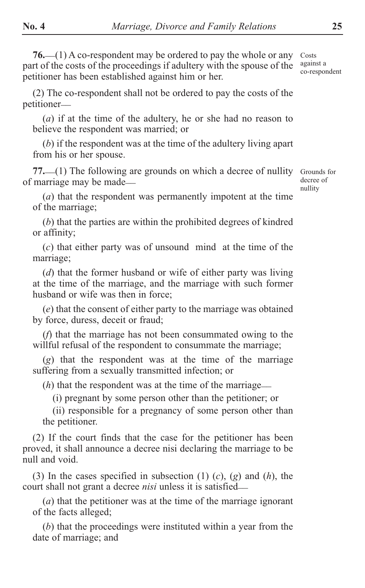(2) The co-respondent shall not be ordered to pay the costs of the petitioner\_\_

(*a*) if at the time of the adultery, he or she had no reason to believe the respondent was married; or

(*b*) if the respondent was at the time of the adultery living apart from his or her spouse.

77. (1) The following are grounds on which a decree of nullity of marriage may be made\_\_

Grounds for decree of nullity

(*a*) that the respondent was permanently impotent at the time of the marriage;

(*b*) that the parties are within the prohibited degrees of kindred or affinity;

(*c*) that either party was of unsound mind at the time of the marriage;

(*d*) that the former husband or wife of either party was living at the time of the marriage, and the marriage with such former husband or wife was then in force;

(*e*) that the consent of either party to the marriage was obtained by force, duress, deceit or fraud;

(*f*) that the marriage has not been consummated owing to the willful refusal of the respondent to consummate the marriage;

(*g*) that the respondent was at the time of the marriage suffering from a sexually transmitted infection; or

(*h*) that the respondent was at the time of the marriage—

(i) pregnant by some person other than the petitioner; or

(ii) responsible for a pregnancy of some person other than the petitioner.

(2) If the court finds that the case for the petitioner has been proved, it shall announce a decree nisi declaring the marriage to be null and void.

(3) In the cases specified in subsection (1) (*c*), (*g*) and (*h*), the court shall not grant a decree *nisi* unless it is satisfied\_\_

(*a*) that the petitioner was at the time of the marriage ignorant of the facts alleged;

(*b*) that the proceedings were instituted within a year from the date of marriage; and

Costs against a co-respondent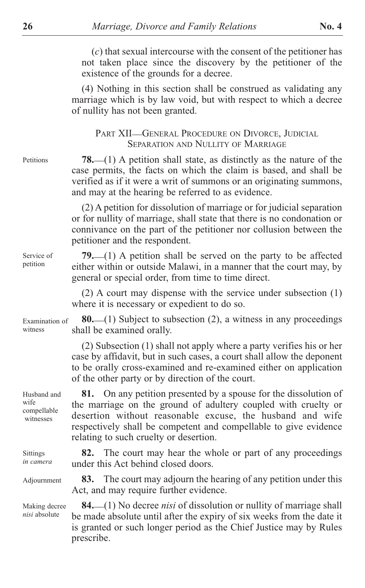(*c*) that sexual intercourse with the consent of the petitioner has not taken place since the discovery by the petitioner of the existence of the grounds for a decree.

(4) Nothing in this section shall be construed as validating any marriage which is by law void, but with respect to which a decree of nullity has not been granted.

PART XII-GENERAL PROCEDURE ON DIVORCE, JUDICIAL SEPARATION AND NULLITY OF MARRIAGE

Petitions

Service of petition

**78.** \_\_(1) A petition shall state, as distinctly as the nature of the case permits, the facts on which the claim is based, and shall be verified as if it were a writ of summons or an originating summons, and may at the hearing be referred to as evidence.

(2) A petition for dissolution of marriage or for judicial separation or for nullity of marriage, shall state that there is no condonation or connivance on the part of the petitioner nor collusion between the petitioner and the respondent.

**79.** \_\_(1) A petition shall be served on the party to be affected either within or outside Malawi, in a manner that the court may, by general or special order, from time to time direct.

(2) A court may dispense with the service under subsection (1) where it is necessary or expedient to do so.

**80.** \_\_(1) Subject to subsection (2), a witness in any proceedings shall be examined orally. Examination of witness

> (2) Subsection (1) shall not apply where a party verifies his or her case by affidavit, but in such cases, a court shall allow the deponent to be orally cross-examined and re-examined either on application of the other party or by direction of the court.

Husband and wife compellable witnesses

Sittings *in camera*

Adjournment

Making decree *nisi* absolute

**81.** On any petition presented by a spouse for the dissolution of the marriage on the ground of adultery coupled with cruelty or desertion without reasonable excuse, the husband and wife respectively shall be competent and compellable to give evidence relating to such cruelty or desertion.

**82.** The court may hear the whole or part of any proceedings under this Act behind closed doors.

**83.** The court may adjourn the hearing of any petition under this Act, and may require further evidence.

**84.** \_\_(1) No decree *nisi* of dissolution or nullity of marriage shall be made absolute until after the expiry of six weeks from the date it is granted or such longer period as the Chief Justice may by Rules prescribe.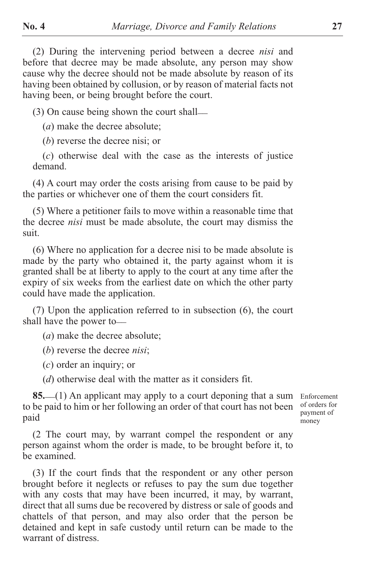(2) During the intervening period between a decree *nisi* and before that decree may be made absolute, any person may show cause why the decree should not be made absolute by reason of its having been obtained by collusion, or by reason of material facts not having been, or being brought before the court.

(3) On cause being shown the court shall \_\_

(*a*) make the decree absolute;

(*b*) reverse the decree nisi; or

(*c*) otherwise deal with the case as the interests of justice demand.

(4) A court may order the costs arising from cause to be paid by the parties or whichever one of them the court considers fit.

(5) Where a petitioner fails to move within a reasonable time that the decree *nisi* must be made absolute, the court may dismiss the suit.

(6) Where no application for a decree nisi to be made absolute is made by the party who obtained it, the party against whom it is granted shall be at liberty to apply to the court at any time after the expiry of six weeks from the earliest date on which the other party could have made the application.

(7) Upon the application referred to in subsection (6), the court shall have the power to

(*a*) make the decree absolute;

(*b*) reverse the decree *nisi*;

(*c*) order an inquiry; or

(*d*) otherwise deal with the matter as it considers fit.

**85.** (1) An applicant may apply to a court deponing that a sum Enforcement to be paid to him or her following an order of that court has not been paid

of orders for payment of money

(2 The court may, by warrant compel the respondent or any person against whom the order is made, to be brought before it, to be examined.

(3) If the court finds that the respondent or any other person brought before it neglects or refuses to pay the sum due together with any costs that may have been incurred, it may, by warrant, direct that all sums due be recovered by distress or sale of goods and chattels of that person, and may also order that the person be detained and kept in safe custody until return can be made to the warrant of distress.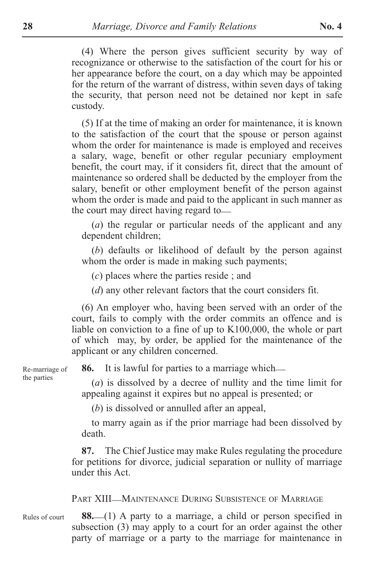(4) Where the person gives sufficient security by way of recognizance or otherwise to the satisfaction of the court for his or her appearance before the court, on a day which may be appointed for the return of the warrant of distress, within seven days of taking the security, that person need not be detained nor kept in safe custody.

(5) If at the time of making an order for maintenance, it is known to the satisfaction of the court that the spouse or person against whom the order for maintenance is made is employed and receives a salary, wage, benefit or other regular pecuniary employment benefit, the court may, if it considers fit, direct that the amount of maintenance so ordered shall be deducted by the employer from the salary, benefit or other employment benefit of the person against whom the order is made and paid to the applicant in such manner as the court may direct having regard to—

(*a*) the regular or particular needs of the applicant and any dependent children;

(*b*) defaults or likelihood of default by the person against whom the order is made in making such payments;

(*c*) places where the parties reside ; and

(*d*) any other relevant factors that the court considers fit.

(6) An employer who, having been served with an order of the court, fails to comply with the order commits an offence and is liable on conviction to a fine of up to K100,000, the whole or part of which may, by order, be applied for the maintenance of the applicant or any children concerned.

**86.** It is lawful for parties to a marriage which—

(*a*) is dissolved by a decree of nullity and the time limit for appealing against it expires but no appeal is presented; or

(*b*) is dissolved or annulled after an appeal,

to marry again as if the prior marriage had been dissolved by death.

**87.** The Chief Justice may make Rules regulating the procedure for petitions for divorce, judicial separation or nullity of marriage under this Act.

PART XIII-MAINTENANCE DURING SUBSISTENCE OF MARRIAGE

88.<sup>(1)</sup> A party to a marriage, a child or person specified in subsection (3) may apply to a court for an order against the other party of marriage or a party to the marriage for maintenance in Rules of court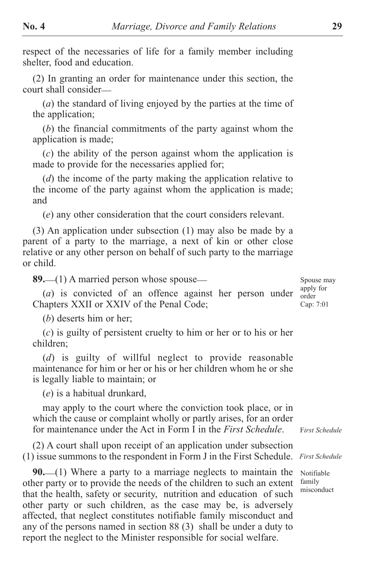respect of the necessaries of life for a family member including shelter, food and education.

(2) In granting an order for maintenance under this section, the court shall consider\_\_

(*a*) the standard of living enjoyed by the parties at the time of the application;

(*b*) the financial commitments of the party against whom the application is made;

(*c*) the ability of the person against whom the application is made to provide for the necessaries applied for;

(*d*) the income of the party making the application relative to the income of the party against whom the application is made; and

(*e*) any other consideration that the court considers relevant.

(3) An application under subsection (1) may also be made by a parent of a party to the marriage, a next of kin or other close relative or any other person on behalf of such party to the marriage or child.

89. (1) A married person whose spouse-

(*a*) is convicted of an offence against her person under Chapters XXII or XXIV of the Penal Code;

(*b*) deserts him or her;

(*c*) is guilty of persistent cruelty to him or her or to his or her children;

(*d*) is guilty of willful neglect to provide reasonable maintenance for him or her or his or her children whom he or she is legally liable to maintain; or

(*e*) is a habitual drunkard,

may apply to the court where the conviction took place, or in which the cause or complaint wholly or partly arises, for an order for maintenance under the Act in Form I in the *First Schedule*.

(2) A court shall upon receipt of an application under subsection (1) issue summons to the respondent in Form J in the First Schedule. *First Schedule*

**90.** \_\_(1) Where a party to a marriage neglects to maintain the other party or to provide the needs of the children to such an extent that the health, safety or security, nutrition and education of such other party or such children, as the case may be, is adversely affected, that neglect constitutes notifiable family misconduct and any of the persons named in section 88 (3) shall be under a duty to report the neglect to the Minister responsible for social welfare.

Spouse may apply for order Cap: 7:01

F*irst Schedule*

Notifiable family misconduct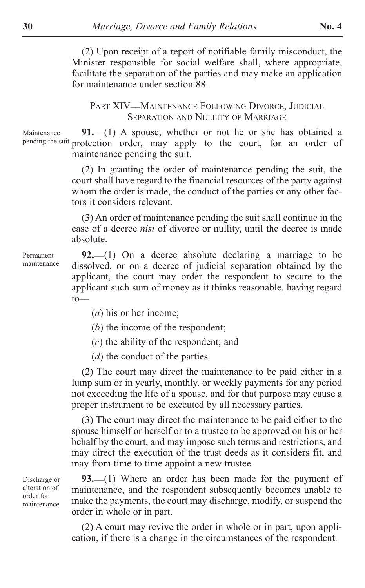(2) Upon receipt of a report of notifiable family misconduct, the Minister responsible for social welfare shall, where appropriate, facilitate the separation of the parties and may make an application for maintenance under section 88.

PART XIV—MAINTENANCE FOLLOWING DIVORCE, JUDICIAL SEPARATION AND NULLITY OF MARRIAGE

91.<sup>(1)</sup> A spouse, whether or not he or she has obtained a pending the suit protection order, may apply to the court, for an order of maintenance pending the suit. Maintenance

> (2) In granting the order of maintenance pending the suit, the court shall have regard to the financial resources of the party against whom the order is made, the conduct of the parties or any other factors it considers relevant.

> (3) An order of maintenance pending the suit shall continue in the case of a decree *nisi* of divorce or nullity, until the decree is made absolute.

**92.** \_\_(1) On a decree absolute declaring a marriage to be dissolved, or on a decree of judicial separation obtained by the applicant, the court may order the respondent to secure to the applicant such sum of money as it thinks reasonable, having regard  $to_-\$ 

(*a*) his or her income;

(*b*) the income of the respondent;

(*c*) the ability of the respondent; and

(*d*) the conduct of the parties.

(2) The court may direct the maintenance to be paid either in a lump sum or in yearly, monthly, or weekly payments for any period not exceeding the life of a spouse, and for that purpose may cause a proper instrument to be executed by all necessary parties.

(3) The court may direct the maintenance to be paid either to the spouse himself or herself or to a trustee to be approved on his or her behalf by the court, and may impose such terms and restrictions, and may direct the execution of the trust deeds as it considers fit, and may from time to time appoint a new trustee.

93.<sup>(1)</sup> Where an order has been made for the payment of maintenance, and the respondent subsequently becomes unable to make the payments, the court may discharge, modify, or suspend the order in whole or in part.

(2) A court may revive the order in whole or in part, upon application, if there is a change in the circumstances of the respondent.

Discharge or alteration of order for maintenance

Permanent maintenance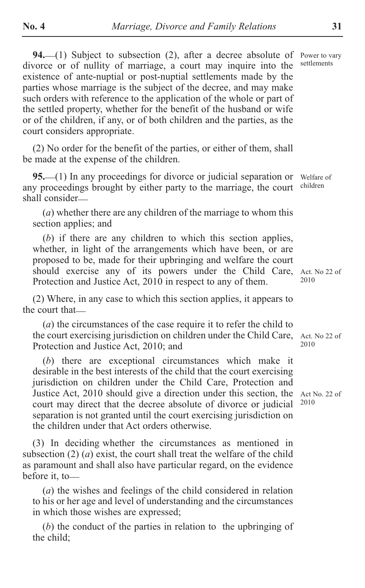94. (1) Subject to subsection (2), after a decree absolute of divorce or of nullity of marriage, a court may inquire into the existence of ante-nuptial or post-nuptial settlements made by the parties whose marriage is the subject of the decree, and may make such orders with reference to the application of the whole or part of the settled property, whether for the benefit of the husband or wife or of the children, if any, or of both children and the parties, as the court considers appropriate.

(2) No order for the benefit of the parties, or either of them, shall be made at the expense of the children.

95. (1) In any proceedings for divorce or judicial separation or any proceedings brought by either party to the marriage, the court shall consider\_\_

(*a*) whether there are any children of the marriage to whom this section applies; and

(*b*) if there are any children to which this section applies, whether, in light of the arrangements which have been, or are proposed to be, made for their upbringing and welfare the court should exercise any of its powers under the Child Care, Act. No 22 of Protection and Justice Act, 2010 in respect to any of them.

(2) Where, in any case to which this section applies, it appears to the court that—

(*a*) the circumstances of the case require it to refer the child to the court exercising jurisdiction on children under the Child Care, Act. No 22 of Protection and Justice Act, 2010; and

(*b*) there are exceptional circumstances which make it desirable in the best interests of the child that the court exercising jurisdiction on children under the Child Care, Protection and Justice Act, 2010 should give a direction under this section, the court may direct that the decree absolute of divorce or judicial separation is not granted until the court exercising jurisdiction on the children under that Act orders otherwise.

(3) In deciding whether the circumstances as mentioned in subsection (2) (*a*) exist, the court shall treat the welfare of the child as paramount and shall also have particular regard, on the evidence before it, to-

(*a*) the wishes and feelings of the child considered in relation to his or her age and level of understanding and the circumstances in which those wishes are expressed;

(*b*) the conduct of the parties in relation to the upbringing of the child;

Power to vary settlements

Welfare of children

2010

2010

Act No. 22 of 2010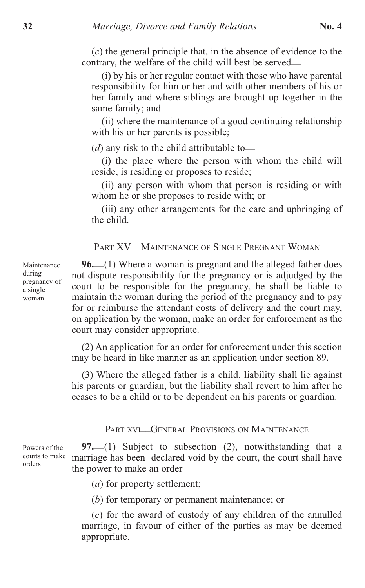(*c*) the general principle that, in the absence of evidence to the contrary, the welfare of the child will best be served\_\_

(i) by his or her regular contact with those who have parental responsibility for him or her and with other members of his or her family and where siblings are brought up together in the same family; and

(ii) where the maintenance of a good continuing relationship with his or her parents is possible;

(*d*) any risk to the child attributable to—

(i) the place where the person with whom the child will reside, is residing or proposes to reside;

(ii) any person with whom that person is residing or with whom he or she proposes to reside with; or

(iii) any other arrangements for the care and upbringing of the child.

PART XV\_\_MAINTENANCE OF SINGLE PREGNANT WOMAN

96. (1) Where a woman is pregnant and the alleged father does not dispute responsibility for the pregnancy or is adjudged by the court to be responsible for the pregnancy, he shall be liable to maintain the woman during the period of the pregnancy and to pay for or reimburse the attendant costs of delivery and the court may, on application by the woman, make an order for enforcement as the court may consider appropriate.

(2) An application for an order for enforcement under this section may be heard in like manner as an application under section 89.

(3) Where the alleged father is a child, liability shall lie against his parents or guardian, but the liability shall revert to him after he ceases to be a child or to be dependent on his parents or guardian.

# PART XVI—GENERAL PROVISIONS ON MAINTENANCE

**97.** \_\_(1) Subject to subsection (2), notwithstanding that a marriage has been declared void by the court, the court shall have the power to make an order\_\_ Powers of the courts to make orders

(*a*) for property settlement;

(*b*) for temporary or permanent maintenance; or

(*c*) for the award of custody of any children of the annulled marriage, in favour of either of the parties as may be deemed appropriate.

Maintenance during pregnancy of a single woman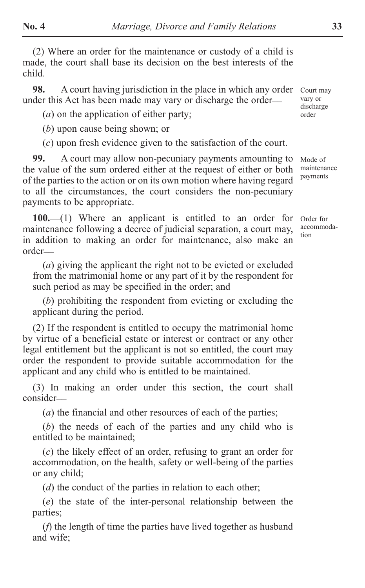(2) Where an order for the maintenance or custody of a child is made, the court shall base its decision on the best interests of the child.

**98.** A court having jurisdiction in the place in which any order under this Act has been made may vary or discharge the order\_\_

(*a*) on the application of either party;

(*b*) upon cause being shown; or

(*c*) upon fresh evidence given to the satisfaction of the court.

**99.** A court may allow non-pecuniary payments amounting to the value of the sum ordered either at the request of either or both of the parties to the action or on its own motion where having regard to all the circumstances, the court considers the non-pecuniary payments to be appropriate.

100.<sup>(1)</sup> Where an applicant is entitled to an order for maintenance following a decree of judicial separation, a court may, in addition to making an order for maintenance, also make an order\_\_

(*a*) giving the applicant the right not to be evicted or excluded from the matrimonial home or any part of it by the respondent for such period as may be specified in the order; and

(*b*) prohibiting the respondent from evicting or excluding the applicant during the period.

(2) If the respondent is entitled to occupy the matrimonial home by virtue of a beneficial estate or interest or contract or any other legal entitlement but the applicant is not so entitled, the court may order the respondent to provide suitable accommodation for the applicant and any child who is entitled to be maintained.

(3) In making an order under this section, the court shall consider\_\_

(*a*) the financial and other resources of each of the parties;

(*b*) the needs of each of the parties and any child who is entitled to be maintained;

(*c*) the likely effect of an order, refusing to grant an order for accommodation, on the health, safety or well-being of the parties or any child;

(*d*) the conduct of the parties in relation to each other;

(*e*) the state of the inter-personal relationship between the parties;

(*f*) the length of time the parties have lived together as husband and wife;

Court may vary or discharge order

Mode of maintenance payments

Order for accommodation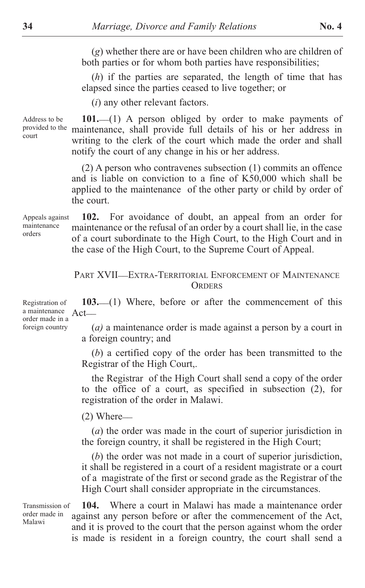(*g*) whether there are or have been children who are children of both parties or for whom both parties have responsibilities;

(*h*) if the parties are separated, the length of time that has elapsed since the parties ceased to live together; or

(*i*) any other relevant factors.

101.<sup>(1)</sup> A person obliged by order to make payments of provided to the maintenance, shall provide full details of his or her address in writing to the clerk of the court which made the order and shall notify the court of any change in his or her address. Address to be

> (2) A person who contravenes subsection (1) commits an offence and is liable on conviction to a fine of K50,000 which shall be applied to the maintenance of the other party or child by order of the court.

**102.** For avoidance of doubt, an appeal from an order for maintenance or the refusal of an order by a court shall lie, in the case of a court subordinate to the High Court, to the High Court and in the case of the High Court, to the Supreme Court of Appeal. Appeals against maintenance orders

#### PART XVII\_\_EXTRA-TERRITORIAL ENFORCEMENT OF MAINTENANCE **ORDERS**

103.<sup>(1)</sup> Where, before or after the commencement of this  $Act$ <sub> $-$ </sub>

> (*a)* a maintenance order is made against a person by a court in a foreign country; and

> (*b*) a certified copy of the order has been transmitted to the Registrar of the High Court,.

> the Registrar of the High Court shall send a copy of the order to the office of a court, as specified in subsection (2), for registration of the order in Malawi.

 $(2)$  Where $-$ 

(*a*) the order was made in the court of superior jurisdiction in the foreign country, it shall be registered in the High Court;

(*b*) the order was not made in a court of superior jurisdiction, it shall be registered in a court of a resident magistrate or a court of a magistrate of the first or second grade as the Registrar of the High Court shall consider appropriate in the circumstances.

Transmission of order made in Malawi

**104.** Where a court in Malawi has made a maintenance order against any person before or after the commencement of the Act, and it is proved to the court that the person against whom the order is made is resident in a foreign country, the court shall send a

Registration of a maintenance order made in a foreign country

court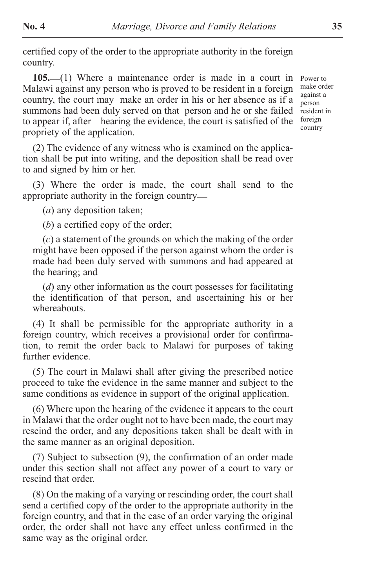certified copy of the order to the appropriate authority in the foreign country.

105.<sup>(1)</sup> Where a maintenance order is made in a court in Malawi against any person who is proved to be resident in a foreign country, the court may make an order in his or her absence as if a summons had been duly served on that person and he or she failed to appear if, after hearing the evidence, the court is satisfied of the propriety of the application.

Power to make order against a person resident in foreign country

(2) The evidence of any witness who is examined on the application shall be put into writing, and the deposition shall be read over to and signed by him or her.

(3) Where the order is made, the court shall send to the appropriate authority in the foreign country\_\_

(*a*) any deposition taken;

(*b*) a certified copy of the order;

(*c*) a statement of the grounds on which the making of the order might have been opposed if the person against whom the order is made had been duly served with summons and had appeared at the hearing; and

(*d*) any other information as the court possesses for facilitating the identification of that person, and ascertaining his or her whereabouts.

(4) It shall be permissible for the appropriate authority in a foreign country, which receives a provisional order for confirmation, to remit the order back to Malawi for purposes of taking further evidence.

(5) The court in Malawi shall after giving the prescribed notice proceed to take the evidence in the same manner and subject to the same conditions as evidence in support of the original application.

(6) Where upon the hearing of the evidence it appears to the court in Malawi that the order ought not to have been made, the court may rescind the order, and any depositions taken shall be dealt with in the same manner as an original deposition.

(7) Subject to subsection (9), the confirmation of an order made under this section shall not affect any power of a court to vary or rescind that order.

(8) On the making of a varying or rescinding order, the court shall send a certified copy of the order to the appropriate authority in the foreign country, and that in the case of an order varying the original order, the order shall not have any effect unless confirmed in the same way as the original order.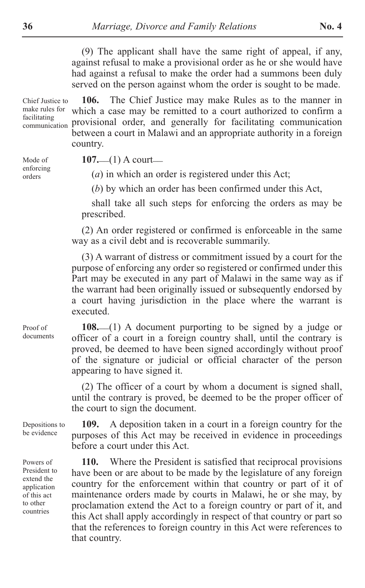(9) The applicant shall have the same right of appeal, if any, against refusal to make a provisional order as he or she would have had against a refusal to make the order had a summons been duly served on the person against whom the order is sought to be made.

**106.** The Chief Justice may make Rules as to the manner in which a case may be remitted to a court authorized to confirm a provisional order, and generally for facilitating communication between a court in Malawi and an appropriate authority in a foreign country. Chief Justice to make rules for facilitating communication

Mode of enforcing orders

**107.** (1) A court

(*a*) in which an order is registered under this Act;

(*b*) by which an order has been confirmed under this Act,

shall take all such steps for enforcing the orders as may be prescribed.

(2) An order registered or confirmed is enforceable in the same way as a civil debt and is recoverable summarily.

(3) A warrant of distress or commitment issued by a court for the purpose of enforcing any order so registered or confirmed under this Part may be executed in any part of Malawi in the same way as if the warrant had been originally issued or subsequently endorsed by a court having jurisdiction in the place where the warrant is executed.

Proof of documents

108.<sup>(1)</sup> A document purporting to be signed by a judge or officer of a court in a foreign country shall, until the contrary is proved, be deemed to have been signed accordingly without proof of the signature or judicial or official character of the person appearing to have signed it.

(2) The officer of a court by whom a document is signed shall, until the contrary is proved, be deemed to be the proper officer of the court to sign the document.

Depositions to be evidence

Powers of President to extend the application of this act to other countries

**109.** A deposition taken in a court in a foreign country for the purposes of this Act may be received in evidence in proceedings before a court under this Act.

**110.** Where the President is satisfied that reciprocal provisions have been or are about to be made by the legislature of any foreign country for the enforcement within that country or part of it of maintenance orders made by courts in Malawi, he or she may, by proclamation extend the Act to a foreign country or part of it, and this Act shall apply accordingly in respect of that country or part so that the references to foreign country in this Act were references to that country.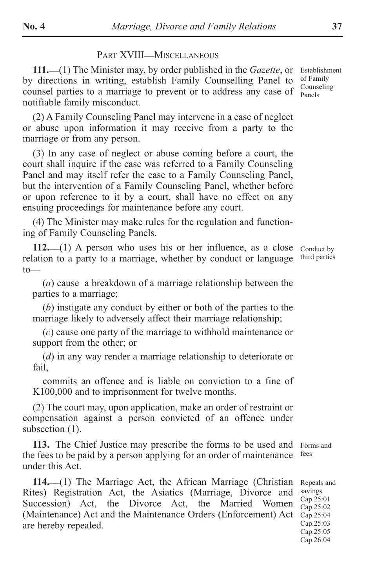#### PART XVIII\_MISCELLANEOUS

**111.** \_\_(1) The Minister may, by order published in the *Gazette*, or by directions in writing, establish Family Counselling Panel to counsel parties to a marriage to prevent or to address any case of notifiable family misconduct.

(2) A Family Counseling Panel may intervene in a case of neglect or abuse upon information it may receive from a party to the marriage or from any person.

(3) In any case of neglect or abuse coming before a court, the court shall inquire if the case was referred to a Family Counseling Panel and may itself refer the case to a Family Counseling Panel, but the intervention of a Family Counseling Panel, whether before or upon reference to it by a court, shall have no effect on any ensuing proceedings for maintenance before any court.

(4) The Minister may make rules for the regulation and functioning of Family Counseling Panels.

112.<sup>(1)</sup> A person who uses his or her influence, as a close relation to a party to a marriage, whether by conduct or language  $to$ 

(*a*) cause a breakdown of a marriage relationship between the parties to a marriage;

(*b*) instigate any conduct by either or both of the parties to the marriage likely to adversely affect their marriage relationship;

(*c*) cause one party of the marriage to withhold maintenance or support from the other; or

(*d*) in any way render a marriage relationship to deteriorate or fail,

commits an offence and is liable on conviction to a fine of K100,000 and to imprisonment for twelve months.

(2) The court may, upon application, make an order of restraint or compensation against a person convicted of an offence under subsection  $(1)$ .

**113.** The Chief Justice may prescribe the forms to be used and the fees to be paid by a person applying for an order of maintenance under this Act. Forms and fees

114.<sup>(1)</sup> The Marriage Act, the African Marriage (Christian Rites) Registration Act, the Asiatics (Marriage, Divorce and Succession) Act, the Divorce Act, the Married Women (Maintenance) Act and the Maintenance Orders (Enforcement) Act are hereby repealed. Repeals and savings Cap.25:01 Cap.25:02 Cap.25:04 Cap.25:03 Cap.25:05

Conduct by third parties

Cap.26:04

Establishment of Family Counseling Panels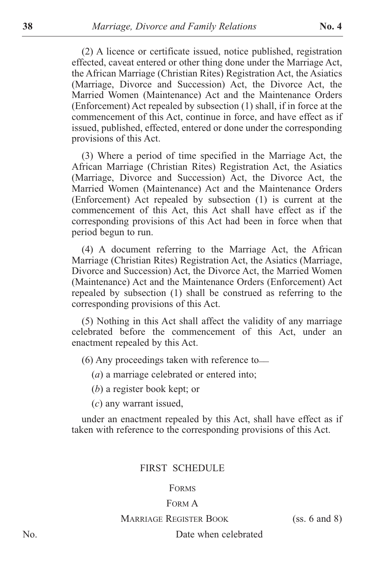(2) A licence or certificate issued, notice published, registration effected, caveat entered or other thing done under the Marriage Act, the African Marriage (Christian Rites) Registration Act, the Asiatics (Marriage, Divorce and Succession) Act, the Divorce Act, the Married Women (Maintenance) Act and the Maintenance Orders (Enforcement) Act repealed by subsection (1) shall, if in force at the commencement of this Act, continue in force, and have effect as if issued, published, effected, entered or done under the corresponding provisions of this Act.

(3) Where a period of time specified in the Marriage Act, the African Marriage (Christian Rites) Registration Act, the Asiatics (Marriage, Divorce and Succession) Act, the Divorce Act, the Married Women (Maintenance) Act and the Maintenance Orders (Enforcement) Act repealed by subsection (1) is current at the commencement of this Act, this Act shall have effect as if the corresponding provisions of this Act had been in force when that period begun to run.

(4) A document referring to the Marriage Act, the African Marriage (Christian Rites) Registration Act, the Asiatics (Marriage, Divorce and Succession) Act, the Divorce Act, the Married Women (Maintenance) Act and the Maintenance Orders (Enforcement) Act repealed by subsection (1) shall be construed as referring to the corresponding provisions of this Act.

(5) Nothing in this Act shall affect the validity of any marriage celebrated before the commencement of this Act, under an enactment repealed by this Act.

(6) Any proceedings taken with reference to\_\_

(*a*) a marriage celebrated or entered into;

(*b*) a register book kept; or

(*c*) any warrant issued,

under an enactment repealed by this Act, shall have effect as if taken with reference to the corresponding provisions of this Act.

## FIRST SCHEDULE

#### FORMS

#### FORM A

#### MARRIAGE REGISTER BOOK (SS. 6 and 8)

No. Date when celebrated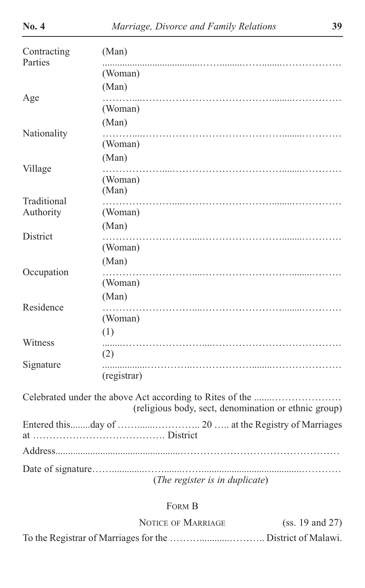| Contracting<br>Parties | (Man)                                                |
|------------------------|------------------------------------------------------|
|                        | (Woman)                                              |
|                        | (Man)                                                |
| Age                    | (Woman)                                              |
| Nationality            | (Man)                                                |
|                        | (Woman)                                              |
|                        | (Man)                                                |
| Village                | (Woman)<br>(Man)                                     |
| Traditional            |                                                      |
| Authority              | (Woman)<br>(Man)                                     |
| District               |                                                      |
|                        | (Woman)                                              |
| Occupation             | (Man)                                                |
|                        | (Woman)                                              |
| Residence              | (Man)                                                |
|                        | (Woman)                                              |
|                        | (1)                                                  |
| Witness                | (2)                                                  |
| Signature              |                                                      |
|                        | (registrar)                                          |
|                        | (religious body, sect, denomination or ethnic group) |
|                        |                                                      |
|                        |                                                      |
|                        |                                                      |
|                        | (The register is in duplicate)                       |

# FORM B

| <b>NOTICE OF MARRIAGE</b> | (ss. 19 and 27) |
|---------------------------|-----------------|
|                           |                 |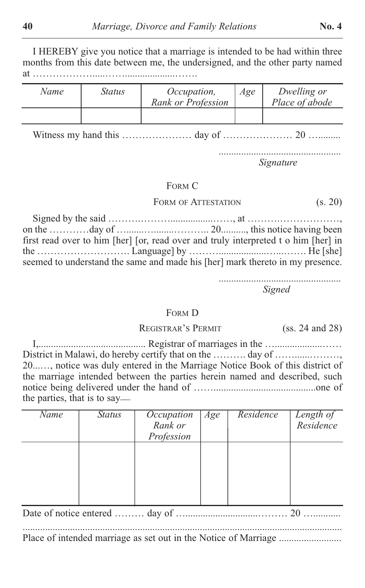I HEREBY give you notice that a marriage is intended to be had within three months from this date between me, the undersigned, and the other party named at ……………….....……....................…….

| Name | Status | Occupation,<br>Rank or Profession | Age | Dwelling or<br>Place of abode |
|------|--------|-----------------------------------|-----|-------------------------------|
|      |        |                                   |     |                               |

Witness my hand this ………………… day of ………………… 20 ….........

................................................. *Signature*

#### FORM C

FORM OF ATTESTATION (S. 20)

Signed by the said ……….……….................……, at ……….………………, on the …………day of ….......…........……….. 20.........., this notice having been first read over to him [her] [or, read over and truly interpreted t o him [her] in the ………………………. Language] by ………...................…...……. He [she] seemed to understand the same and made his [her] mark thereto in my presence.

> ................................................. *Signed*

#### FORM D

#### REGISTRAR'S PERMIT (ss. 24 and 28)

I,........................................... Registrar of marriages in the …...................…… District in Malawi, do hereby certify that on the ………. day of ………………… 20...…, notice was duly entered in the Marriage Notice Book of this district of the marriage intended between the parties herein named and described, such notice being delivered under the hand of …….........................................one of the parties, that is to say\_\_

| Name | <b>Status</b> | Occupation<br>Rank or | Age | Residence | Length of<br>Residence |  |
|------|---------------|-----------------------|-----|-----------|------------------------|--|
|      |               | Profession            |     |           |                        |  |
|      |               |                       |     |           |                        |  |
|      |               |                       |     |           |                        |  |
|      |               |                       |     |           |                        |  |

Place of intended marriage as set out in the Notice of Marriage .........................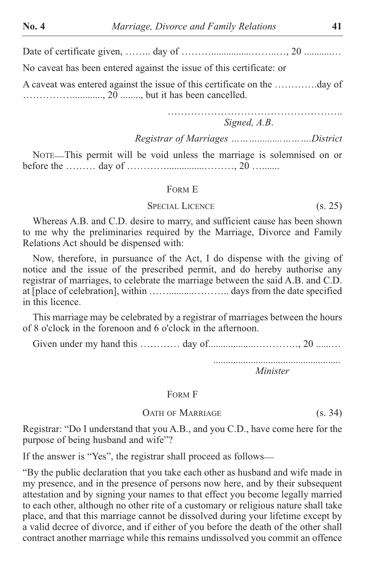Date of certificate given, …….. day of ………................……..…, 20 ...........…

No caveat has been entered against the issue of this certificate: or

A caveat was entered against the issue of this certificate on the ………….day of ……………............, 20 ........, but it has been cancelled.

> ……………………………………………………… *Signed, A.B*.

*Registrar of Marriages ………..........……….District*

NOTE\_\_This permit will be void unless the marriage is solemnised on or before the ……… day of …………...............………, 20 ….......

#### FORM E

#### SPECIAL LICENCE (s. 25)

Whereas A.B. and C.D. desire to marry, and sufficient cause has been shown to me why the preliminaries required by the Marriage, Divorce and Family Relations Act should be dispensed with:

Now, therefore, in pursuance of the Act, I do dispense with the giving of notice and the issue of the prescribed permit, and do hereby authorise any registrar of marriages, to celebrate the marriage between the said A.B. and C.D. at [place of celebration], within ……..........……….. days from the date specified in this licence.

This marriage may be celebrated by a registrar of marriages between the hours of 8 o'clock in the forenoon and 6 o'clock in the afternoon.

Given under my hand this ………… day of...................…………., 20 ......…

................................................... *Minister*

FORM F

#### OATH OF MARRIAGE (S. 34)

Registrar: "Do I understand that you A.B., and you C.D., have come here for the purpose of being husband and wife"?

If the answer is "Yes", the registrar shall proceed as follows—

"By the public declaration that you take each other as husband and wife made in my presence, and in the presence of persons now here, and by their subsequent attestation and by signing your names to that effect you become legally married to each other, although no other rite of a customary or religious nature shall take place, and that this marriage cannot be dissolved during your lifetime except by a valid decree of divorce, and if either of you before the death of the other shall contract another marriage while this remains undissolved you commit an offence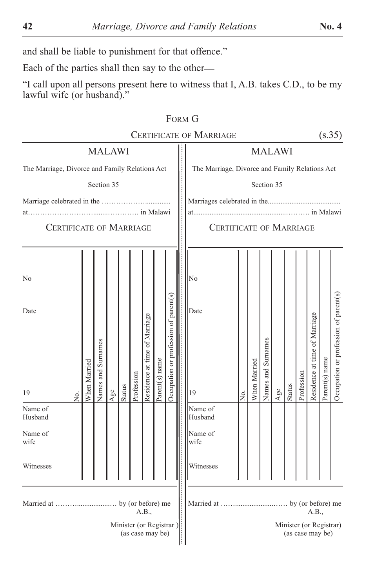and shall be liable to punishment for that offence."

Each of the parties shall then say to the other\_\_

"I call upon all persons present here to witness that I, A.B. takes C.D., to be my lawful wife (or husband)."

|                                                |              |                    |              |                                             |            |                               |                |                                       |  | FORM G                                         |               |              |                    |              |               |            |                                             |                |                                       |
|------------------------------------------------|--------------|--------------------|--------------|---------------------------------------------|------------|-------------------------------|----------------|---------------------------------------|--|------------------------------------------------|---------------|--------------|--------------------|--------------|---------------|------------|---------------------------------------------|----------------|---------------------------------------|
| <b>CERTIFICATE OF MARRIAGE</b>                 |              |                    |              |                                             |            |                               |                |                                       |  |                                                |               |              |                    |              |               |            | (s.35)                                      |                |                                       |
| <b>MALAWI</b>                                  |              |                    |              |                                             |            |                               |                |                                       |  |                                                | <b>MALAWI</b> |              |                    |              |               |            |                                             |                |                                       |
| The Marriage, Divorce and Family Relations Act |              |                    |              |                                             |            |                               |                |                                       |  | The Marriage, Divorce and Family Relations Act |               |              |                    |              |               |            |                                             |                |                                       |
|                                                |              | Section 35         |              |                                             |            |                               |                |                                       |  |                                                |               |              | Section 35         |              |               |            |                                             |                |                                       |
|                                                |              |                    |              |                                             |            |                               |                |                                       |  |                                                |               |              |                    |              |               |            |                                             |                |                                       |
| at.                                            |              |                    |              |                                             |            |                               |                |                                       |  |                                                |               |              |                    |              |               |            |                                             |                |                                       |
| <b>CERTIFICATE OF MARRIAGE</b>                 |              |                    |              |                                             |            |                               |                |                                       |  | <b>CERTIFICATE OF MARRIAGE</b>                 |               |              |                    |              |               |            |                                             |                |                                       |
|                                                |              |                    |              |                                             |            |                               |                |                                       |  |                                                |               |              |                    |              |               |            |                                             |                |                                       |
| No                                             |              |                    |              |                                             |            |                               |                |                                       |  | No                                             |               |              |                    |              |               |            |                                             |                |                                       |
|                                                |              |                    |              |                                             |            |                               |                |                                       |  |                                                |               |              |                    |              |               |            |                                             |                |                                       |
| Date                                           |              |                    |              |                                             |            |                               |                |                                       |  | Date                                           |               |              |                    |              |               |            |                                             |                |                                       |
|                                                |              |                    |              |                                             |            |                               |                |                                       |  |                                                |               |              |                    |              |               |            |                                             |                |                                       |
|                                                |              |                    |              |                                             |            |                               |                |                                       |  |                                                |               |              |                    |              |               |            |                                             |                |                                       |
|                                                |              |                    |              |                                             |            |                               |                |                                       |  |                                                |               |              |                    |              |               |            |                                             |                |                                       |
|                                                |              |                    |              |                                             |            |                               |                |                                       |  |                                                |               |              |                    |              |               |            |                                             |                |                                       |
| 19<br>δ.                                       | When Married | Names and Surnames | $_{\rm Age}$ | <b>Status</b>                               | Profession | Residence at time of Marriage | Parent(s) name | Occupation or profession of parent(s) |  | 19                                             | ,<br>Ž        | When Married | Names and Surnames | $_{\rm Age}$ | <b>Status</b> | Profession | Residence at time of Marriage               | Parent(s) name | Occupation or profession of parent(s) |
| Name of<br>Husband                             |              |                    |              |                                             |            |                               |                |                                       |  | Name of<br>Husband                             |               |              |                    |              |               |            |                                             |                |                                       |
| Name of<br>wife                                |              |                    |              |                                             |            |                               |                |                                       |  | Name of<br>wife                                |               |              |                    |              |               |            |                                             |                |                                       |
|                                                |              |                    |              |                                             |            |                               |                |                                       |  |                                                |               |              |                    |              |               |            |                                             |                |                                       |
| Witnesses                                      |              |                    |              |                                             |            |                               |                |                                       |  | Witnesses                                      |               |              |                    |              |               |            |                                             |                |                                       |
|                                                |              |                    |              |                                             |            |                               |                |                                       |  |                                                |               |              |                    |              |               |            |                                             |                |                                       |
|                                                |              |                    |              |                                             |            | A.B.,                         |                |                                       |  |                                                |               |              |                    |              |               |            | A.B.,                                       |                |                                       |
|                                                |              |                    |              | Minister (or Registrar)<br>(as case may be) |            |                               |                |                                       |  |                                                |               |              |                    |              |               |            | Minister (or Registrar)<br>(as case may be) |                |                                       |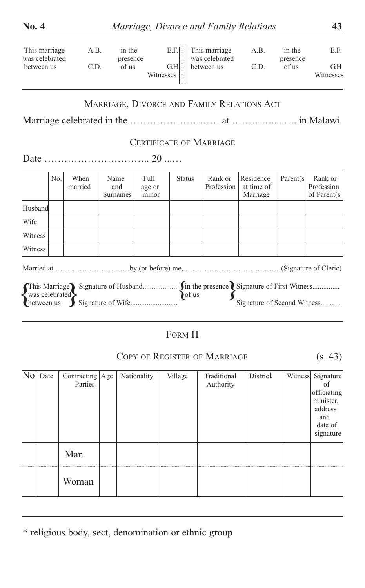| was celebrated<br>between us | This marriage                | A.B.<br>C.D.               |                  | in the<br>presence<br>of us |                         | $E.F.$ :<br>$GH$ :<br>Witnesses |               | This marriage<br>was celebrated<br>between us | A.B.<br>C.D.                        | in the<br>presence<br>of us | E.F.<br>G.H<br>Witnesses                                                              |
|------------------------------|------------------------------|----------------------------|------------------|-----------------------------|-------------------------|---------------------------------|---------------|-----------------------------------------------|-------------------------------------|-----------------------------|---------------------------------------------------------------------------------------|
|                              |                              |                            |                  |                             |                         |                                 |               | MARRIAGE, DIVORCE AND FAMILY RELATIONS ACT    |                                     |                             |                                                                                       |
|                              |                              |                            |                  |                             |                         |                                 |               | <b>CERTIFICATE OF MARRIAGE</b>                |                                     |                             |                                                                                       |
|                              |                              |                            |                  |                             |                         |                                 |               |                                               |                                     |                             |                                                                                       |
|                              | No.                          | When<br>married            | Name<br>Surnames | and                         | Full<br>age or<br>minor |                                 | <b>Status</b> | Rank or<br>Profession                         | Residence<br>at time of<br>Marriage | Parent(s)                   | Rank or<br>Profession<br>of Parent(s)                                                 |
| Husband                      |                              |                            |                  |                             |                         |                                 |               |                                               |                                     |                             |                                                                                       |
| Wife                         |                              |                            |                  |                             |                         |                                 |               |                                               |                                     |                             |                                                                                       |
| Witness                      |                              |                            |                  |                             |                         |                                 |               |                                               |                                     |                             |                                                                                       |
| Witness                      |                              |                            |                  |                             |                         |                                 |               |                                               |                                     |                             |                                                                                       |
|                              | was celebrated<br>between us |                            |                  |                             |                         |                                 | of us         |                                               | Signature of Second Witness         |                             |                                                                                       |
|                              |                              |                            |                  |                             |                         |                                 | FORM H        |                                               |                                     |                             |                                                                                       |
|                              |                              |                            |                  |                             |                         |                                 |               | COPY OF REGISTER OF MARRIAGE                  |                                     |                             | (s. 43)                                                                               |
| No Date                      |                              | Contracting Age<br>Parties |                  |                             | Nationality             |                                 | Village       | Traditional<br>Authority                      | District                            | Witness                     | Signature<br>of<br>officiating<br>minister.<br>address<br>and<br>date of<br>signature |
|                              |                              | Man                        |                  |                             |                         |                                 |               |                                               |                                     |                             |                                                                                       |
|                              |                              | Woman                      |                  |                             |                         |                                 |               |                                               |                                     |                             |                                                                                       |

\* religious body, sect, denomination or ethnic group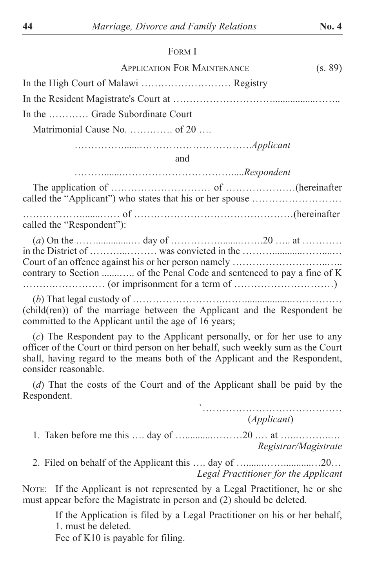#### FORM I

| <b>APPLICATION FOR MAINTENANCE</b>                      | (s. 89) |
|---------------------------------------------------------|---------|
|                                                         |         |
|                                                         |         |
| In the  Grade Subordinate Court                         |         |
| Matrimonial Cause No. $\dots \dots \dots$ of 20 $\dots$ |         |
|                                                         |         |

……………......…………………………….*Applicant*

and

……….......…………………………….....*Respondent*

The application of ……………………………………………………(hereinafter called the "Applicant") who states that his or her spouse ……………………… ……………….......…… of …………………………………………(hereinafter

called the "Respondent"):

| contrary to Section  of the Penal Code and sentenced to pay a fine of K |  |  |
|-------------------------------------------------------------------------|--|--|
|                                                                         |  |  |

(*b*) That legal custody of ……………………….……...................…………… (child(ren)) of the marriage between the Applicant and the Respondent be committed to the Applicant until the age of 16 years;

(*c*) The Respondent pay to the Applicant personally, or for her use to any officer of the Court or third person on her behalf, such weekly sum as the Court shall, having regard to the means both of the Applicant and the Respondent, consider reasonable.

(*d*) That the costs of the Court and of the Applicant shall be paid by the Respondent.

> 、<br>`………………………………………………… (*Applicant*)

- 1. Taken before me this …. day of …...........………20 .… at …..………..… *Registrar/Magistrate*
- 2. Filed on behalf of the Applicant this …. day of ….......……...........…20… *Legal Practitioner for the Applicant*

NOTE: If the Applicant is not represented by a Legal Practitioner, he or she must appear before the Magistrate in person and (2) should be deleted.

> If the Application is filed by a Legal Practitioner on his or her behalf, 1. must be deleted.

Fee of K10 is payable for filing.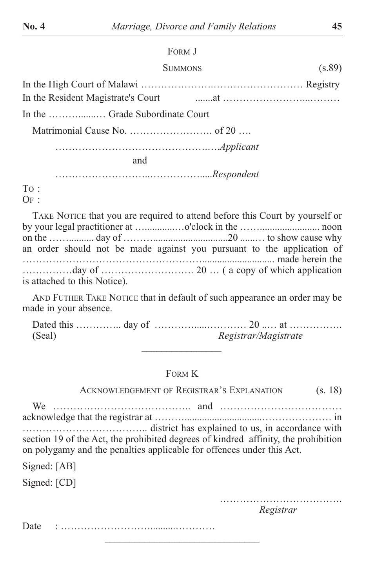# FORM J

# SUMMONS (s.89)

In the High Court of Malawi ………………….……………………… Registry In the Resident Magistrate's Court .......at ……………………...……… In the ……….......… Grade Subordinate Court Matrimonial Cause No. ……………………. of 20 …. ……………………………………….….*Applicant* and ………………………..…………….....*Respondent*

TO :  $OF:$ 

TAKE NOTICE that you are required to attend before this Court by yourself or by your legal practitioner at …............…o'clock in the ……........................ noon on the …….......... day of ………..............................20 ......… to show cause why an order should not be made against you pursuant to the application of ………………………………………………............................. made herein the ……………day of ………………………. 20 … ( a copy of which application is attached to this Notice).

AND FUTHER TAKE NOTICE that in default of such appearance an order may be made in your absence.

Dated this ………….. day of ………….....………… 20 ..… at ……………. (Seal) *Registrar/Magistrate*  $\frac{1}{2}$  , where  $\frac{1}{2}$  , where  $\frac{1}{2}$ 

### FORM K

ACKNOWLEDGEMENT OF REGISTRAR'S EXPLANATION (S. 18)

We ………………………………….. and ……………………………… acknowledge that the registrar at ………...............................………………… in ……………………………….. district has explained to us, in accordance with section 19 of the Act, the prohibited degrees of kindred affinity, the prohibition on polygamy and the penalties applicable for offences under this Act.

 $\mathcal{L}=\mathcal{L}=\mathcal{L}=\mathcal{L}=\mathcal{L}=\mathcal{L}=\mathcal{L}=\mathcal{L}=\mathcal{L}=\mathcal{L}=\mathcal{L}=\mathcal{L}=\mathcal{L}=\mathcal{L}=\mathcal{L}=\mathcal{L}=\mathcal{L}=\mathcal{L}=\mathcal{L}=\mathcal{L}=\mathcal{L}=\mathcal{L}=\mathcal{L}=\mathcal{L}=\mathcal{L}=\mathcal{L}=\mathcal{L}=\mathcal{L}=\mathcal{L}=\mathcal{L}=\mathcal{L}=\mathcal{L}=\mathcal{L}=\mathcal{L}=\mathcal{L}=\mathcal{L}=\mathcal{$ 

Signed: [AB]

Signed: [CD]

………………………………. *Registrar*

Date : ………………………..........…………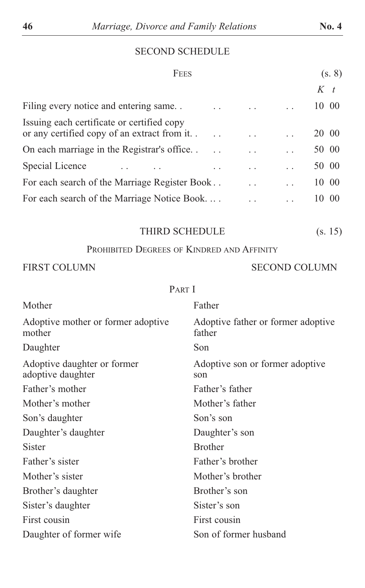# SECOND SCHEDULE

| FEES                                                                                       |                      | (s, 8)                |
|--------------------------------------------------------------------------------------------|----------------------|-----------------------|
|                                                                                            |                      | $K_t$                 |
| Filing every notice and entering same                                                      |                      | 10 00                 |
| Issuing each certificate or certified copy<br>or any certified copy of an extract from it. |                      | 20 00                 |
| On each marriage in the Registrar's office                                                 |                      | 50 00                 |
| Special Licence                                                                            |                      | 50 00                 |
| For each search of the Marriage Register Book                                              | $\ddot{\phantom{0}}$ | 10 00                 |
| For each search of the Marriage Notice Book                                                |                      | 00 <sup>2</sup><br>10 |

| THIRD SCHEDULE | (s. 15) |
|----------------|---------|
|----------------|---------|

PROHIBITED DEGREES OF KINDRED AND AFFINITY

# FIRST COLUMN SECOND COLUMN

## PART I

| Mother                                           | Father                                       |
|--------------------------------------------------|----------------------------------------------|
| Adoptive mother or former adoptive<br>mother     | Adoptive father or former adoptive<br>father |
| Daughter                                         | Son                                          |
| Adoptive daughter or former<br>adoptive daughter | Adoptive son or former adoptive<br>son       |
| Father's mother                                  | Father's father                              |
| Mother's mother                                  | Mother's father                              |
| Son's daughter                                   | Son's son                                    |
| Daughter's daughter                              | Daughter's son                               |
| Sister                                           | <b>Brother</b>                               |
| Father's sister                                  | Father's brother                             |
| Mother's sister                                  | Mother's brother                             |
| Brother's daughter                               | Brother's son                                |
| Sister's daughter                                | Sister's son                                 |
| First cousin                                     | First cousin                                 |
| Daughter of former wife                          | Son of former husband                        |
|                                                  |                                              |